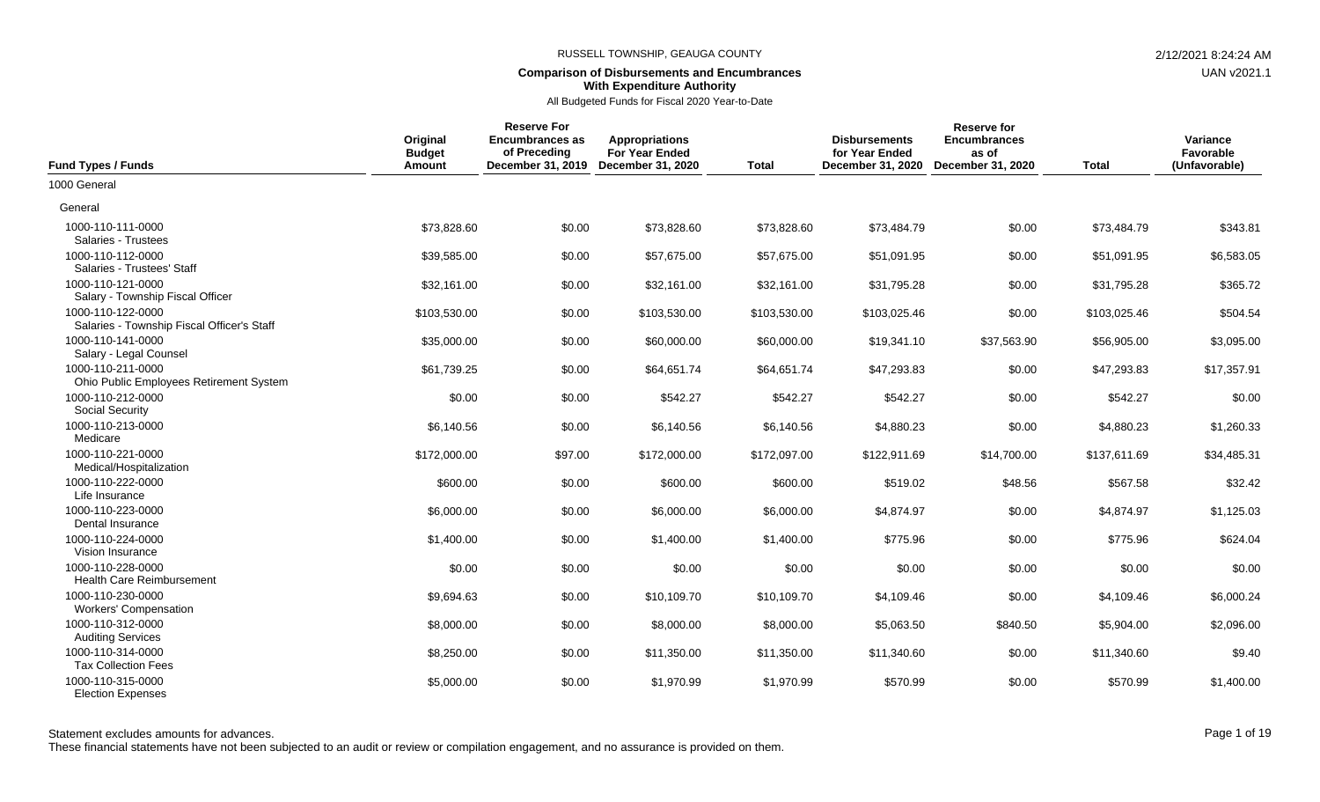## **Comparison of Disbursements and Encumbrances With Expenditure Authority**

All Budgeted Funds for Fiscal 2020 Year-to-Date

| <b>Fund Types / Funds</b>                                       | Original<br><b>Budget</b><br>Amount | <b>Reserve For</b><br><b>Encumbrances as</b><br>of Preceding<br>December 31, 2019 | <b>Appropriations</b><br><b>For Year Ended</b><br>December 31, 2020 | <b>Total</b> | <b>Disbursements</b><br>for Year Ended<br>December 31, 2020 | <b>Reserve for</b><br><b>Encumbrances</b><br>as of<br>December 31, 2020 | <b>Total</b> | Variance<br>Favorable<br>(Unfavorable) |
|-----------------------------------------------------------------|-------------------------------------|-----------------------------------------------------------------------------------|---------------------------------------------------------------------|--------------|-------------------------------------------------------------|-------------------------------------------------------------------------|--------------|----------------------------------------|
| 1000 General                                                    |                                     |                                                                                   |                                                                     |              |                                                             |                                                                         |              |                                        |
| General                                                         |                                     |                                                                                   |                                                                     |              |                                                             |                                                                         |              |                                        |
| 1000-110-111-0000<br>Salaries - Trustees                        | \$73,828.60                         | \$0.00                                                                            | \$73,828.60                                                         | \$73,828.60  | \$73,484.79                                                 | \$0.00                                                                  | \$73,484.79  | \$343.81                               |
| 1000-110-112-0000<br>Salaries - Trustees' Staff                 | \$39,585.00                         | \$0.00                                                                            | \$57,675.00                                                         | \$57,675.00  | \$51,091.95                                                 | \$0.00                                                                  | \$51,091.95  | \$6,583.05                             |
| 1000-110-121-0000<br>Salary - Township Fiscal Officer           | \$32,161.00                         | \$0.00                                                                            | \$32,161.00                                                         | \$32,161.00  | \$31,795.28                                                 | \$0.00                                                                  | \$31,795.28  | \$365.72                               |
| 1000-110-122-0000<br>Salaries - Township Fiscal Officer's Staff | \$103,530.00                        | \$0.00                                                                            | \$103,530.00                                                        | \$103,530.00 | \$103,025.46                                                | \$0.00                                                                  | \$103,025.46 | \$504.54                               |
| 1000-110-141-0000<br>Salary - Legal Counsel                     | \$35,000.00                         | \$0.00                                                                            | \$60,000.00                                                         | \$60,000.00  | \$19,341.10                                                 | \$37,563.90                                                             | \$56,905.00  | \$3,095.00                             |
| 1000-110-211-0000<br>Ohio Public Employees Retirement System    | \$61,739.25                         | \$0.00                                                                            | \$64,651.74                                                         | \$64,651.74  | \$47,293.83                                                 | \$0.00                                                                  | \$47,293.83  | \$17,357.91                            |
| 1000-110-212-0000<br><b>Social Security</b>                     | \$0.00                              | \$0.00                                                                            | \$542.27                                                            | \$542.27     | \$542.27                                                    | \$0.00                                                                  | \$542.27     | \$0.00                                 |
| 1000-110-213-0000<br>Medicare                                   | \$6,140.56                          | \$0.00                                                                            | \$6,140.56                                                          | \$6,140.56   | \$4,880.23                                                  | \$0.00                                                                  | \$4,880.23   | \$1,260.33                             |
| 1000-110-221-0000<br>Medical/Hospitalization                    | \$172,000.00                        | \$97.00                                                                           | \$172,000.00                                                        | \$172,097.00 | \$122,911.69                                                | \$14,700.00                                                             | \$137,611.69 | \$34,485.31                            |
| 1000-110-222-0000<br>Life Insurance                             | \$600.00                            | \$0.00                                                                            | \$600.00                                                            | \$600.00     | \$519.02                                                    | \$48.56                                                                 | \$567.58     | \$32.42                                |
| 1000-110-223-0000<br>Dental Insurance                           | \$6,000.00                          | \$0.00                                                                            | \$6,000.00                                                          | \$6,000.00   | \$4,874.97                                                  | \$0.00                                                                  | \$4,874.97   | \$1,125.03                             |
| 1000-110-224-0000<br>Vision Insurance                           | \$1,400.00                          | \$0.00                                                                            | \$1,400.00                                                          | \$1,400.00   | \$775.96                                                    | \$0.00                                                                  | \$775.96     | \$624.04                               |
| 1000-110-228-0000<br><b>Health Care Reimbursement</b>           | \$0.00                              | \$0.00                                                                            | \$0.00                                                              | \$0.00       | \$0.00                                                      | \$0.00                                                                  | \$0.00       | \$0.00                                 |
| 1000-110-230-0000<br><b>Workers' Compensation</b>               | \$9,694.63                          | \$0.00                                                                            | \$10,109.70                                                         | \$10,109.70  | \$4,109.46                                                  | \$0.00                                                                  | \$4,109.46   | \$6,000.24                             |
| 1000-110-312-0000<br><b>Auditing Services</b>                   | \$8,000.00                          | \$0.00                                                                            | \$8,000.00                                                          | \$8,000.00   | \$5,063.50                                                  | \$840.50                                                                | \$5,904.00   | \$2,096.00                             |
| 1000-110-314-0000<br><b>Tax Collection Fees</b>                 | \$8,250.00                          | \$0.00                                                                            | \$11,350.00                                                         | \$11,350.00  | \$11,340.60                                                 | \$0.00                                                                  | \$11,340.60  | \$9.40                                 |
| 1000-110-315-0000<br><b>Election Expenses</b>                   | \$5,000.00                          | \$0.00                                                                            | \$1,970.99                                                          | \$1,970.99   | \$570.99                                                    | \$0.00                                                                  | \$570.99     | \$1,400.00                             |

These financial statements have not been subjected to an audit or review or compilation engagement, and no assurance is provided on them.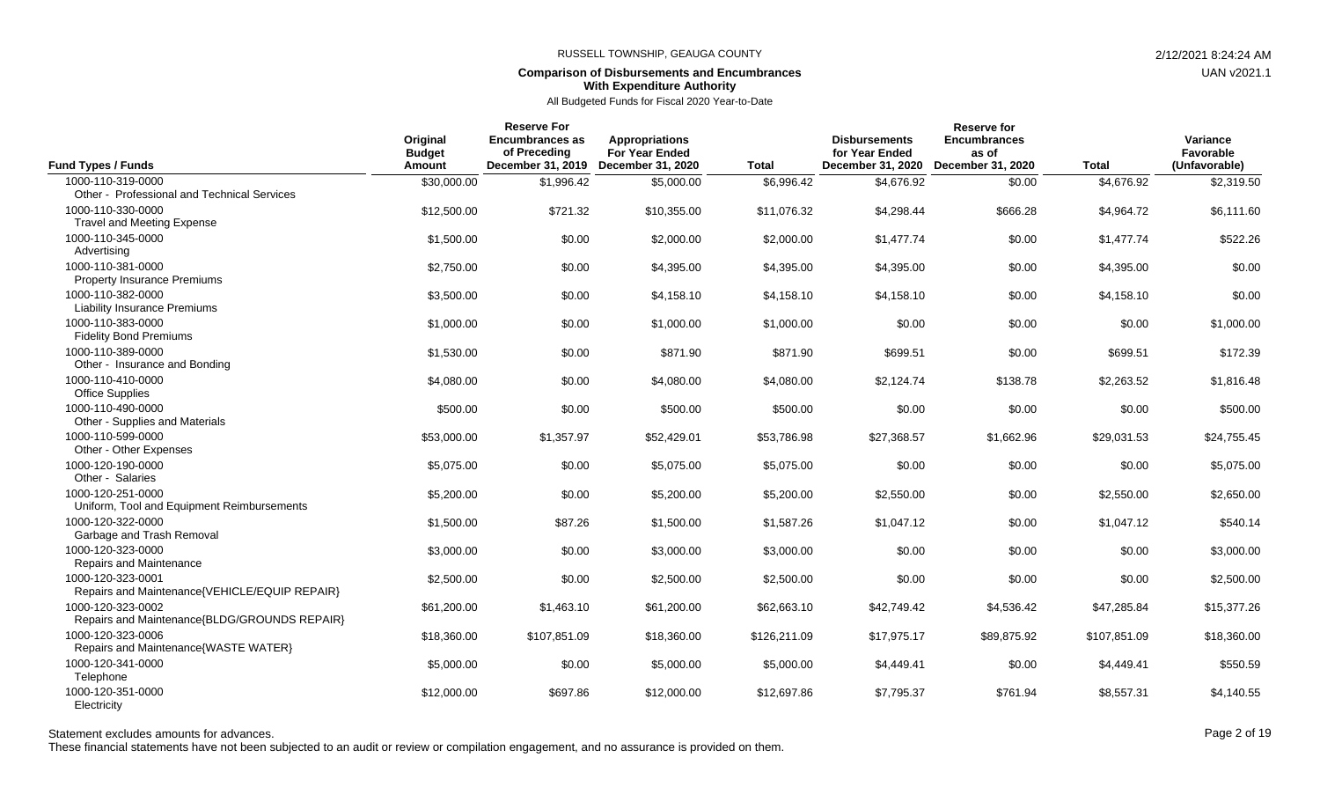## **Comparison of Disbursements and Encumbrances With Expenditure Authority**

All Budgeted Funds for Fiscal 2020 Year-to-Date

| <b>Fund Types / Funds</b>                                          | Original<br><b>Budget</b><br><b>Amount</b> | <b>Reserve For</b><br><b>Encumbrances as</b><br>of Preceding<br>December 31, 2019 | <b>Appropriations</b><br><b>For Year Ended</b><br>December 31, 2020 | <b>Total</b> | <b>Disbursements</b><br>for Year Ended<br>December 31, 2020 | Reserve for<br><b>Encumbrances</b><br>as of<br><b>December 31, 2020</b> | <b>Total</b> | Variance<br>Favorable<br>(Unfavorable) |
|--------------------------------------------------------------------|--------------------------------------------|-----------------------------------------------------------------------------------|---------------------------------------------------------------------|--------------|-------------------------------------------------------------|-------------------------------------------------------------------------|--------------|----------------------------------------|
| 1000-110-319-0000                                                  | \$30,000.00                                | \$1,996.42                                                                        | \$5,000.00                                                          | \$6,996.42   | \$4,676.92                                                  | \$0.00                                                                  | \$4,676.92   | \$2,319.50                             |
| Other - Professional and Technical Services                        |                                            |                                                                                   |                                                                     |              |                                                             |                                                                         |              |                                        |
| 1000-110-330-0000                                                  | \$12,500.00                                | \$721.32                                                                          | \$10,355.00                                                         | \$11,076.32  | \$4,298.44                                                  | \$666.28                                                                | \$4,964.72   | \$6,111.60                             |
| <b>Travel and Meeting Expense</b>                                  |                                            |                                                                                   |                                                                     |              |                                                             |                                                                         |              |                                        |
| 1000-110-345-0000                                                  | \$1,500.00                                 | \$0.00                                                                            | \$2,000.00                                                          | \$2,000.00   | \$1,477.74                                                  | \$0.00                                                                  | \$1,477.74   | \$522.26                               |
| Advertising                                                        |                                            |                                                                                   |                                                                     |              |                                                             |                                                                         |              |                                        |
| 1000-110-381-0000<br><b>Property Insurance Premiums</b>            | \$2,750.00                                 | \$0.00                                                                            | \$4,395.00                                                          | \$4,395.00   | \$4,395.00                                                  | \$0.00                                                                  | \$4,395.00   | \$0.00                                 |
|                                                                    |                                            |                                                                                   |                                                                     |              |                                                             |                                                                         |              |                                        |
| 1000-110-382-0000<br><b>Liability Insurance Premiums</b>           | \$3,500.00                                 | \$0.00                                                                            | \$4,158.10                                                          | \$4,158.10   | \$4,158.10                                                  | \$0.00                                                                  | \$4,158.10   | \$0.00                                 |
| 1000-110-383-0000                                                  |                                            |                                                                                   |                                                                     | \$1,000.00   | \$0.00                                                      | \$0.00                                                                  |              | \$1,000.00                             |
| <b>Fidelity Bond Premiums</b>                                      | \$1,000.00                                 | \$0.00                                                                            | \$1,000.00                                                          |              |                                                             |                                                                         | \$0.00       |                                        |
| 1000-110-389-0000                                                  | \$1,530.00                                 | \$0.00                                                                            | \$871.90                                                            | \$871.90     | \$699.51                                                    | \$0.00                                                                  | \$699.51     | \$172.39                               |
| Other - Insurance and Bonding                                      |                                            |                                                                                   |                                                                     |              |                                                             |                                                                         |              |                                        |
| 1000-110-410-0000                                                  | \$4,080.00                                 | \$0.00                                                                            | \$4,080.00                                                          | \$4,080.00   | \$2,124.74                                                  | \$138.78                                                                | \$2,263.52   | \$1,816.48                             |
| <b>Office Supplies</b>                                             |                                            |                                                                                   |                                                                     |              |                                                             |                                                                         |              |                                        |
| 1000-110-490-0000                                                  | \$500.00                                   | \$0.00                                                                            | \$500.00                                                            | \$500.00     | \$0.00                                                      | \$0.00                                                                  | \$0.00       | \$500.00                               |
| Other - Supplies and Materials                                     |                                            |                                                                                   |                                                                     |              |                                                             |                                                                         |              |                                        |
| 1000-110-599-0000                                                  | \$53,000.00                                | \$1,357.97                                                                        | \$52,429.01                                                         | \$53,786.98  | \$27,368.57                                                 | \$1,662.96                                                              | \$29,031.53  | \$24,755.45                            |
| Other - Other Expenses                                             |                                            |                                                                                   |                                                                     |              |                                                             |                                                                         |              |                                        |
| 1000-120-190-0000                                                  | \$5,075.00                                 | \$0.00                                                                            | \$5,075.00                                                          | \$5,075.00   | \$0.00                                                      | \$0.00                                                                  | \$0.00       | \$5,075.00                             |
| Other - Salaries                                                   |                                            |                                                                                   |                                                                     |              |                                                             |                                                                         |              |                                        |
| 1000-120-251-0000                                                  | \$5,200.00                                 | \$0.00                                                                            | \$5,200.00                                                          | \$5,200.00   | \$2,550.00                                                  | \$0.00                                                                  | \$2,550.00   | \$2,650.00                             |
| Uniform, Tool and Equipment Reimbursements                         |                                            |                                                                                   |                                                                     |              |                                                             |                                                                         |              |                                        |
| 1000-120-322-0000                                                  | \$1,500.00                                 | \$87.26                                                                           | \$1,500.00                                                          | \$1,587.26   | \$1,047.12                                                  | \$0.00                                                                  | \$1,047.12   | \$540.14                               |
| Garbage and Trash Removal                                          |                                            |                                                                                   |                                                                     |              |                                                             |                                                                         |              |                                        |
| 1000-120-323-0000                                                  | \$3,000.00                                 | \$0.00                                                                            | \$3,000.00                                                          | \$3,000.00   | \$0.00                                                      | \$0.00                                                                  | \$0.00       | \$3,000.00                             |
| Repairs and Maintenance                                            |                                            |                                                                                   |                                                                     |              |                                                             |                                                                         |              |                                        |
| 1000-120-323-0001<br>Repairs and Maintenance{VEHICLE/EQUIP REPAIR} | \$2,500.00                                 | \$0.00                                                                            | \$2,500.00                                                          | \$2,500.00   | \$0.00                                                      | \$0.00                                                                  | \$0.00       | \$2,500.00                             |
| 1000-120-323-0002                                                  |                                            |                                                                                   |                                                                     |              |                                                             |                                                                         |              |                                        |
| Repairs and Maintenance{BLDG/GROUNDS REPAIR}                       | \$61,200.00                                | \$1,463.10                                                                        | \$61,200.00                                                         | \$62,663.10  | \$42,749.42                                                 | \$4,536.42                                                              | \$47,285.84  | \$15,377.26                            |
| 1000-120-323-0006                                                  | \$18,360.00                                | \$107,851.09                                                                      | \$18,360.00                                                         | \$126,211.09 | \$17,975.17                                                 | \$89,875.92                                                             | \$107,851.09 | \$18,360.00                            |
| Repairs and Maintenance{WASTE WATER}                               |                                            |                                                                                   |                                                                     |              |                                                             |                                                                         |              |                                        |
| 1000-120-341-0000                                                  | \$5,000.00                                 | \$0.00                                                                            | \$5,000.00                                                          | \$5,000.00   | \$4,449.41                                                  | \$0.00                                                                  | \$4,449.41   | \$550.59                               |
| Telephone                                                          |                                            |                                                                                   |                                                                     |              |                                                             |                                                                         |              |                                        |
| 1000-120-351-0000                                                  | \$12,000.00                                | \$697.86                                                                          | \$12,000.00                                                         | \$12,697.86  | \$7,795.37                                                  | \$761.94                                                                | \$8,557.31   | \$4,140.55                             |
| Electricity                                                        |                                            |                                                                                   |                                                                     |              |                                                             |                                                                         |              |                                        |

## Statement excludes amounts for advances. The state of the control of the control of the Page 2 of 19

These financial statements have not been subjected to an audit or review or compilation engagement, and no assurance is provided on them.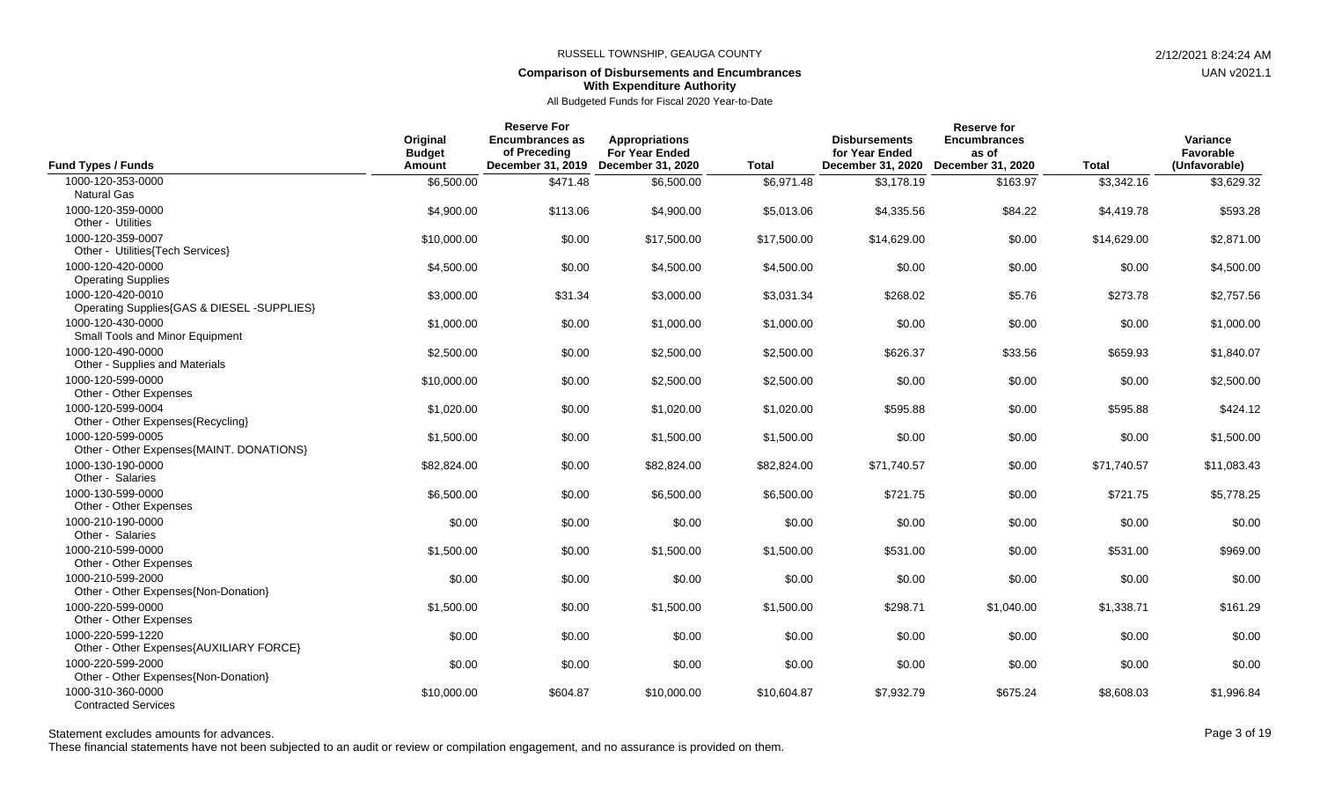## **Comparison of Disbursements and Encumbrances With Expenditure Authority**

All Budgeted Funds for Fiscal 2020 Year-to-Date

| <b>Fund Types / Funds</b>                                       | Original<br><b>Budget</b><br>Amount | <b>Reserve For</b><br><b>Encumbrances as</b><br>of Preceding<br>December 31, 2019 | <b>Appropriations</b><br><b>For Year Ended</b><br><b>December 31, 2020</b> | <b>Total</b> | <b>Disbursements</b><br>for Year Ended<br>December 31, 2020 | <b>Reserve for</b><br><b>Encumbrances</b><br>as of<br>December 31, 2020 | <b>Total</b> | Variance<br>Favorable<br>(Unfavorable) |
|-----------------------------------------------------------------|-------------------------------------|-----------------------------------------------------------------------------------|----------------------------------------------------------------------------|--------------|-------------------------------------------------------------|-------------------------------------------------------------------------|--------------|----------------------------------------|
| 1000-120-353-0000<br><b>Natural Gas</b>                         | \$6,500.00                          | \$471.48                                                                          | \$6,500.00                                                                 | \$6,971.48   | \$3,178.19                                                  | \$163.97                                                                | \$3,342.16   | \$3,629.32                             |
| 1000-120-359-0000<br>Other - Utilities                          | \$4,900.00                          | \$113.06                                                                          | \$4,900.00                                                                 | \$5,013.06   | \$4,335.56                                                  | \$84.22                                                                 | \$4,419.78   | \$593.28                               |
| 1000-120-359-0007<br>Other - Utilities{Tech Services}           | \$10,000.00                         | \$0.00                                                                            | \$17,500.00                                                                | \$17,500.00  | \$14,629.00                                                 | \$0.00                                                                  | \$14,629.00  | \$2,871.00                             |
| 1000-120-420-0000<br><b>Operating Supplies</b>                  | \$4,500.00                          | \$0.00                                                                            | \$4,500.00                                                                 | \$4,500.00   | \$0.00                                                      | \$0.00                                                                  | \$0.00       | \$4,500.00                             |
| 1000-120-420-0010<br>Operating Supplies{GAS & DIESEL -SUPPLIES} | \$3,000.00                          | \$31.34                                                                           | \$3,000.00                                                                 | \$3,031.34   | \$268.02                                                    | \$5.76                                                                  | \$273.78     | \$2,757.56                             |
| 1000-120-430-0000<br>Small Tools and Minor Equipment            | \$1,000.00                          | \$0.00                                                                            | \$1,000.00                                                                 | \$1,000.00   | \$0.00                                                      | \$0.00                                                                  | \$0.00       | \$1,000.00                             |
| 1000-120-490-0000<br>Other - Supplies and Materials             | \$2,500.00                          | \$0.00                                                                            | \$2,500.00                                                                 | \$2,500.00   | \$626.37                                                    | \$33.56                                                                 | \$659.93     | \$1,840.07                             |
| 1000-120-599-0000<br>Other - Other Expenses                     | \$10,000.00                         | \$0.00                                                                            | \$2,500.00                                                                 | \$2,500.00   | \$0.00                                                      | \$0.00                                                                  | \$0.00       | \$2,500.00                             |
| 1000-120-599-0004<br>Other - Other Expenses{Recycling}          | \$1,020.00                          | \$0.00                                                                            | \$1,020.00                                                                 | \$1,020.00   | \$595.88                                                    | \$0.00                                                                  | \$595.88     | \$424.12                               |
| 1000-120-599-0005<br>Other - Other Expenses{MAINT. DONATIONS}   | \$1,500.00                          | \$0.00                                                                            | \$1,500.00                                                                 | \$1,500.00   | \$0.00                                                      | \$0.00                                                                  | \$0.00       | \$1,500.00                             |
| 1000-130-190-0000<br>Other - Salaries                           | \$82,824.00                         | \$0.00                                                                            | \$82,824.00                                                                | \$82,824.00  | \$71.740.57                                                 | \$0.00                                                                  | \$71,740.57  | \$11,083.43                            |
| 1000-130-599-0000<br>Other - Other Expenses                     | \$6,500.00                          | \$0.00                                                                            | \$6,500.00                                                                 | \$6,500.00   | \$721.75                                                    | \$0.00                                                                  | \$721.75     | \$5,778.25                             |
| 1000-210-190-0000<br>Other - Salaries                           | \$0.00                              | \$0.00                                                                            | \$0.00                                                                     | \$0.00       | \$0.00                                                      | \$0.00                                                                  | \$0.00       | \$0.00                                 |
| 1000-210-599-0000<br>Other - Other Expenses                     | \$1,500.00                          | \$0.00                                                                            | \$1,500.00                                                                 | \$1,500.00   | \$531.00                                                    | \$0.00                                                                  | \$531.00     | \$969.00                               |
| 1000-210-599-2000<br>Other - Other Expenses{Non-Donation}       | \$0.00                              | \$0.00                                                                            | \$0.00                                                                     | \$0.00       | \$0.00                                                      | \$0.00                                                                  | \$0.00       | \$0.00                                 |
| 1000-220-599-0000<br>Other - Other Expenses                     | \$1,500.00                          | \$0.00                                                                            | \$1,500.00                                                                 | \$1,500.00   | \$298.71                                                    | \$1,040.00                                                              | \$1,338.71   | \$161.29                               |
| 1000-220-599-1220<br>Other - Other Expenses{AUXILIARY FORCE}    | \$0.00                              | \$0.00                                                                            | \$0.00                                                                     | \$0.00       | \$0.00                                                      | \$0.00                                                                  | \$0.00       | \$0.00                                 |
| 1000-220-599-2000<br>Other - Other Expenses{Non-Donation}       | \$0.00                              | \$0.00                                                                            | \$0.00                                                                     | \$0.00       | \$0.00                                                      | \$0.00                                                                  | \$0.00       | \$0.00                                 |
| 1000-310-360-0000<br><b>Contracted Services</b>                 | \$10,000.00                         | \$604.87                                                                          | \$10,000.00                                                                | \$10,604.87  | \$7,932.79                                                  | \$675.24                                                                | \$8,608.03   | \$1,996.84                             |

## Statement excludes amounts for advances. The state of the state of the state of the state of the state of the state of the state of the Page 3 of 19

These financial statements have not been subjected to an audit or review or compilation engagement, and no assurance is provided on them.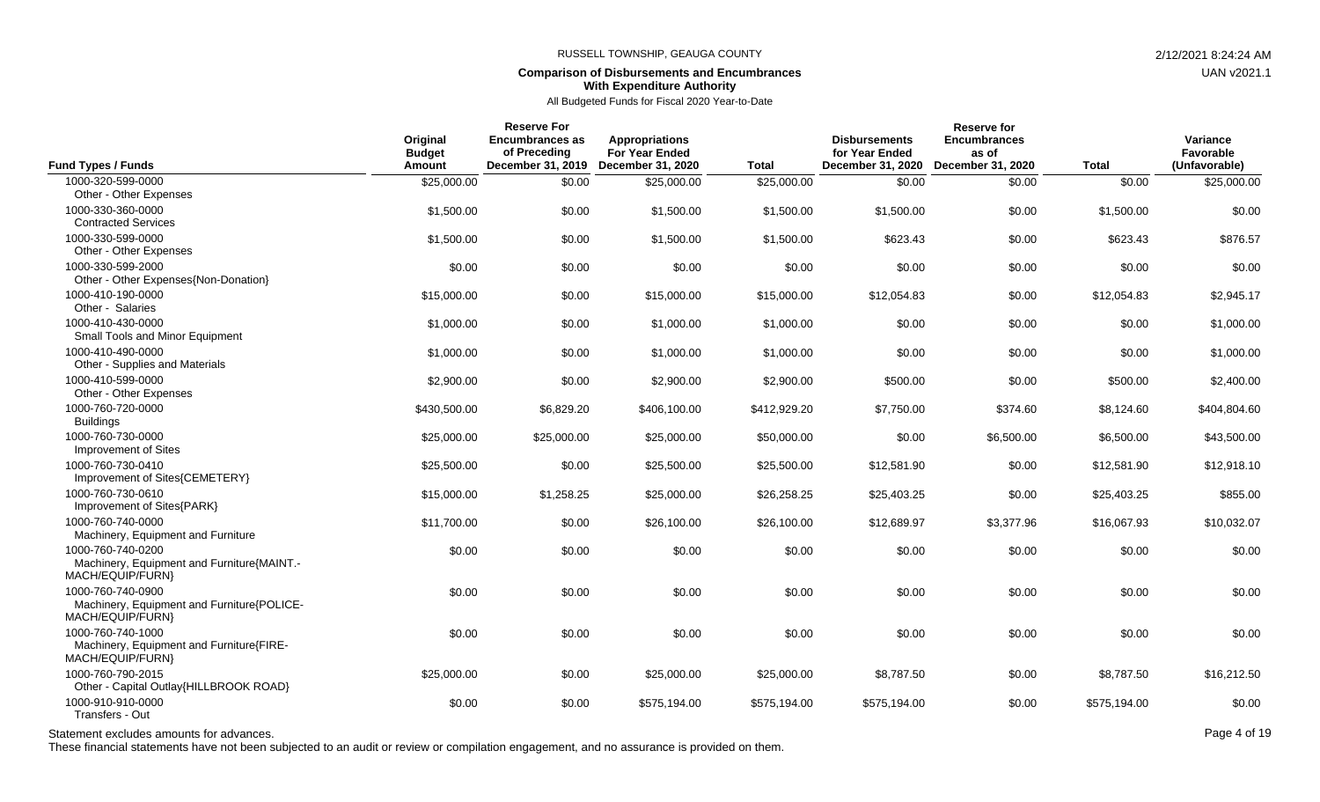### **Comparison of Disbursements and Encumbrances With Expenditure Authority**

## All Budgeted Funds for Fiscal 2020 Year-to-Date

| <b>Fund Types / Funds</b>                                                           | Original<br><b>Budget</b><br>Amount | <b>Reserve For</b><br><b>Encumbrances as</b><br>of Preceding<br>December 31, 2019 | <b>Appropriations</b><br><b>For Year Ended</b><br>December 31, 2020 | <b>Total</b> | <b>Disbursements</b><br>for Year Ended<br>December 31, 2020 | <b>Reserve for</b><br><b>Encumbrances</b><br>as of<br>December 31, 2020 | <b>Total</b> | Variance<br>Favorable<br>(Unfavorable) |
|-------------------------------------------------------------------------------------|-------------------------------------|-----------------------------------------------------------------------------------|---------------------------------------------------------------------|--------------|-------------------------------------------------------------|-------------------------------------------------------------------------|--------------|----------------------------------------|
| 1000-320-599-0000                                                                   | \$25,000.00                         | \$0.00                                                                            | \$25,000.00                                                         | \$25,000.00  | \$0.00                                                      | \$0.00                                                                  | \$0.00       | \$25,000.00                            |
| Other - Other Expenses                                                              |                                     |                                                                                   |                                                                     |              |                                                             |                                                                         |              |                                        |
| 1000-330-360-0000<br><b>Contracted Services</b>                                     | \$1,500.00                          | \$0.00                                                                            | \$1,500.00                                                          | \$1,500.00   | \$1,500.00                                                  | \$0.00                                                                  | \$1,500.00   | \$0.00                                 |
| 1000-330-599-0000<br>Other - Other Expenses                                         | \$1,500.00                          | \$0.00                                                                            | \$1,500.00                                                          | \$1,500.00   | \$623.43                                                    | \$0.00                                                                  | \$623.43     | \$876.57                               |
| 1000-330-599-2000<br>Other - Other Expenses{Non-Donation}                           | \$0.00                              | \$0.00                                                                            | \$0.00                                                              | \$0.00       | \$0.00                                                      | \$0.00                                                                  | \$0.00       | \$0.00                                 |
| 1000-410-190-0000<br>Other - Salaries                                               | \$15,000.00                         | \$0.00                                                                            | \$15,000.00                                                         | \$15,000.00  | \$12,054.83                                                 | \$0.00                                                                  | \$12,054.83  | \$2,945.17                             |
| 1000-410-430-0000<br>Small Tools and Minor Equipment                                | \$1,000.00                          | \$0.00                                                                            | \$1,000.00                                                          | \$1,000.00   | \$0.00                                                      | \$0.00                                                                  | \$0.00       | \$1,000.00                             |
| 1000-410-490-0000<br>Other - Supplies and Materials                                 | \$1,000.00                          | \$0.00                                                                            | \$1,000.00                                                          | \$1,000.00   | \$0.00                                                      | \$0.00                                                                  | \$0.00       | \$1,000.00                             |
| 1000-410-599-0000<br>Other - Other Expenses                                         | \$2,900.00                          | \$0.00                                                                            | \$2,900.00                                                          | \$2,900.00   | \$500.00                                                    | \$0.00                                                                  | \$500.00     | \$2,400.00                             |
| 1000-760-720-0000<br><b>Buildings</b>                                               | \$430,500.00                        | \$6,829.20                                                                        | \$406,100.00                                                        | \$412,929.20 | \$7,750.00                                                  | \$374.60                                                                | \$8,124.60   | \$404,804.60                           |
| 1000-760-730-0000<br>Improvement of Sites                                           | \$25,000.00                         | \$25,000.00                                                                       | \$25,000.00                                                         | \$50,000.00  | \$0.00                                                      | \$6,500.00                                                              | \$6,500.00   | \$43,500.00                            |
| 1000-760-730-0410<br>Improvement of Sites{CEMETERY}                                 | \$25,500.00                         | \$0.00                                                                            | \$25,500.00                                                         | \$25,500.00  | \$12,581.90                                                 | \$0.00                                                                  | \$12,581.90  | \$12,918.10                            |
| 1000-760-730-0610<br>Improvement of Sites{PARK}                                     | \$15,000.00                         | \$1,258.25                                                                        | \$25,000.00                                                         | \$26,258.25  | \$25,403.25                                                 | \$0.00                                                                  | \$25,403.25  | \$855.00                               |
| 1000-760-740-0000<br>Machinery, Equipment and Furniture                             | \$11,700.00                         | \$0.00                                                                            | \$26,100.00                                                         | \$26,100.00  | \$12,689.97                                                 | \$3,377.96                                                              | \$16,067.93  | \$10,032.07                            |
| 1000-760-740-0200<br>Machinery, Equipment and Furniture{MAINT.-<br>MACH/EQUIP/FURN} | \$0.00                              | \$0.00                                                                            | \$0.00                                                              | \$0.00       | \$0.00                                                      | \$0.00                                                                  | \$0.00       | \$0.00                                 |
| 1000-760-740-0900<br>Machinery, Equipment and Furniture{POLICE-<br>MACH/EQUIP/FURN} | \$0.00                              | \$0.00                                                                            | \$0.00                                                              | \$0.00       | \$0.00                                                      | \$0.00                                                                  | \$0.00       | \$0.00                                 |
| 1000-760-740-1000<br>Machinery, Equipment and Furniture{FIRE-<br>MACH/EQUIP/FURN}   | \$0.00                              | \$0.00                                                                            | \$0.00                                                              | \$0.00       | \$0.00                                                      | \$0.00                                                                  | \$0.00       | \$0.00                                 |
| 1000-760-790-2015<br>Other - Capital Outlay{HILLBROOK ROAD}                         | \$25,000.00                         | \$0.00                                                                            | \$25,000.00                                                         | \$25,000.00  | \$8,787.50                                                  | \$0.00                                                                  | \$8,787.50   | \$16,212.50                            |
| 1000-910-910-0000<br>Transfers - Out                                                | \$0.00                              | \$0.00                                                                            | \$575,194.00                                                        | \$575,194.00 | \$575,194.00                                                | \$0.00                                                                  | \$575,194.00 | \$0.00                                 |

Statement excludes amounts for advances. The state of the state of the control of the Page 4 of 19

These financial statements have not been subjected to an audit or review or compilation engagement, and no assurance is provided on them.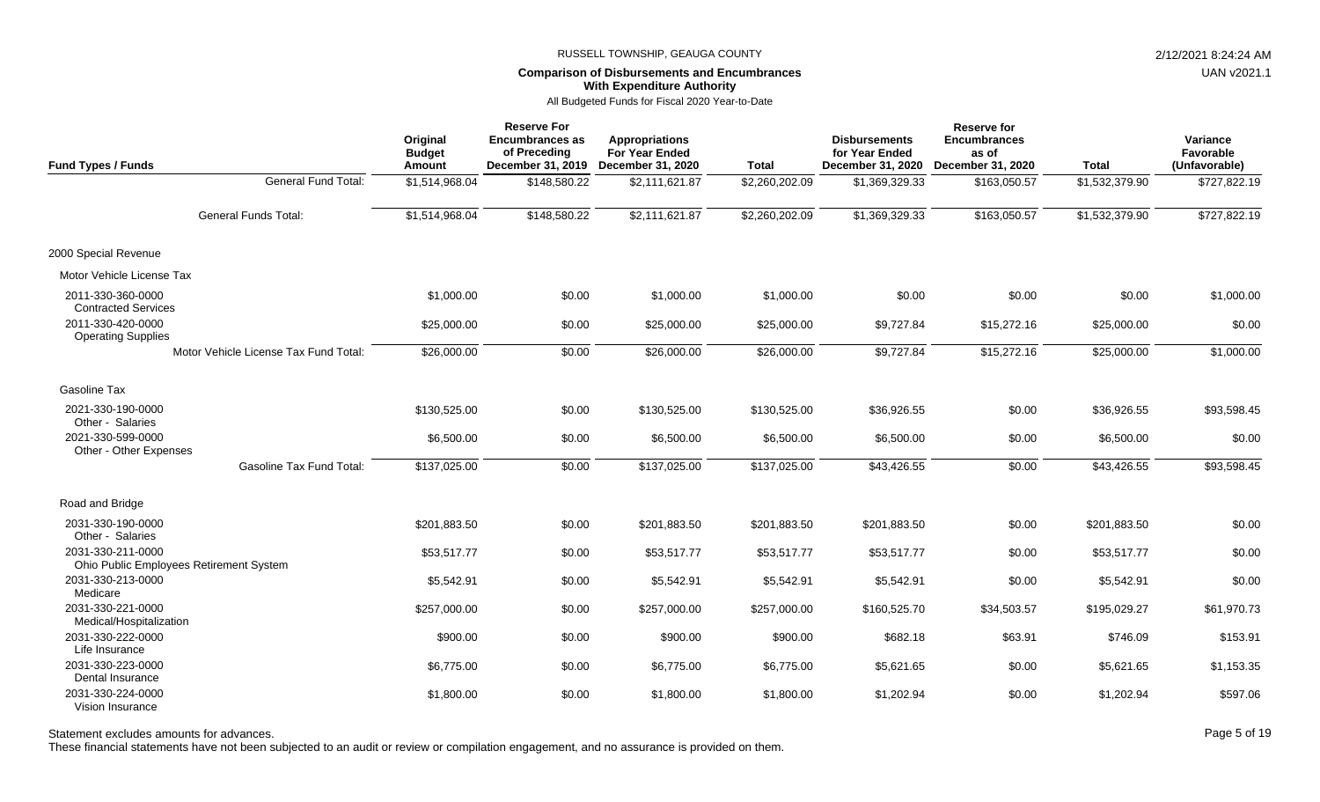### **Comparison of Disbursements and Encumbrances With Expenditure Authority**

All Budgeted Funds for Fiscal 2020 Year-to-Date

| <b>Fund Types / Funds</b>                                    |                                       | Original<br><b>Budget</b><br>Amount | <b>Reserve For</b><br><b>Encumbrances as</b><br>of Preceding | <b>Appropriations</b><br><b>For Year Ended</b><br>December 31, 2019 December 31, 2020 | <b>Total</b>   | <b>Disbursements</b><br>for Year Ended<br>December 31, 2020 | <b>Reserve for</b><br><b>Encumbrances</b><br>as of<br>December 31, 2020 | <b>Total</b>   | Variance<br>Favorable<br>(Unfavorable) |
|--------------------------------------------------------------|---------------------------------------|-------------------------------------|--------------------------------------------------------------|---------------------------------------------------------------------------------------|----------------|-------------------------------------------------------------|-------------------------------------------------------------------------|----------------|----------------------------------------|
|                                                              | General Fund Total:                   | \$1,514,968.04                      | \$148,580.22                                                 | \$2,111,621.87                                                                        | \$2,260,202.09 | \$1,369,329.33                                              | \$163,050.57                                                            | \$1,532,379.90 | \$727,822.19                           |
|                                                              | <b>General Funds Total:</b>           | \$1,514,968.04                      | \$148,580.22                                                 | \$2,111,621.87                                                                        | \$2,260,202.09 | \$1,369,329.33                                              | \$163,050.57                                                            | \$1,532,379.90 | \$727,822.19                           |
| 2000 Special Revenue                                         |                                       |                                     |                                                              |                                                                                       |                |                                                             |                                                                         |                |                                        |
| Motor Vehicle License Tax                                    |                                       |                                     |                                                              |                                                                                       |                |                                                             |                                                                         |                |                                        |
| 2011-330-360-0000<br><b>Contracted Services</b>              |                                       | \$1,000.00                          | \$0.00                                                       | \$1,000.00                                                                            | \$1,000.00     | \$0.00                                                      | \$0.00                                                                  | \$0.00         | \$1,000.00                             |
| 2011-330-420-0000<br><b>Operating Supplies</b>               |                                       | \$25,000.00                         | \$0.00                                                       | \$25,000.00                                                                           | \$25,000.00    | \$9,727.84                                                  | \$15,272.16                                                             | \$25,000.00    | \$0.00                                 |
|                                                              | Motor Vehicle License Tax Fund Total: | \$26,000.00                         | \$0.00                                                       | \$26,000.00                                                                           | \$26,000.00    | \$9,727.84                                                  | \$15,272.16                                                             | \$25,000.00    | \$1,000.00                             |
| Gasoline Tax                                                 |                                       |                                     |                                                              |                                                                                       |                |                                                             |                                                                         |                |                                        |
| 2021-330-190-0000<br>Other - Salaries                        |                                       | \$130,525.00                        | \$0.00                                                       | \$130,525.00                                                                          | \$130,525.00   | \$36,926.55                                                 | \$0.00                                                                  | \$36,926.55    | \$93,598.45                            |
| 2021-330-599-0000<br>Other - Other Expenses                  |                                       | \$6,500.00                          | \$0.00                                                       | \$6,500.00                                                                            | \$6,500.00     | \$6,500.00                                                  | \$0.00                                                                  | \$6,500.00     | \$0.00                                 |
|                                                              | <b>Gasoline Tax Fund Total:</b>       | \$137,025.00                        | \$0.00                                                       | \$137,025.00                                                                          | \$137,025.00   | \$43,426.55                                                 | \$0.00                                                                  | \$43,426.55    | \$93,598.45                            |
| Road and Bridge                                              |                                       |                                     |                                                              |                                                                                       |                |                                                             |                                                                         |                |                                        |
| 2031-330-190-0000<br>Other - Salaries                        |                                       | \$201,883.50                        | \$0.00                                                       | \$201,883.50                                                                          | \$201,883.50   | \$201,883.50                                                | \$0.00                                                                  | \$201,883.50   | \$0.00                                 |
| 2031-330-211-0000<br>Ohio Public Employees Retirement System |                                       | \$53,517.77                         | \$0.00                                                       | \$53,517.77                                                                           | \$53,517.77    | \$53,517.77                                                 | \$0.00                                                                  | \$53,517.77    | \$0.00                                 |
| 2031-330-213-0000<br>Medicare                                |                                       | \$5,542.91                          | \$0.00                                                       | \$5,542.91                                                                            | \$5,542.91     | \$5,542.91                                                  | \$0.00                                                                  | \$5,542.91     | \$0.00                                 |
| 2031-330-221-0000<br>Medical/Hospitalization                 |                                       | \$257,000.00                        | \$0.00                                                       | \$257,000.00                                                                          | \$257,000.00   | \$160,525.70                                                | \$34,503.57                                                             | \$195,029.27   | \$61,970.73                            |
| 2031-330-222-0000<br>Life Insurance                          |                                       | \$900.00                            | \$0.00                                                       | \$900.00                                                                              | \$900.00       | \$682.18                                                    | \$63.91                                                                 | \$746.09       | \$153.91                               |
| 2031-330-223-0000<br>Dental Insurance                        |                                       | \$6,775.00                          | \$0.00                                                       | \$6,775.00                                                                            | \$6,775.00     | \$5,621.65                                                  | \$0.00                                                                  | \$5,621.65     | \$1,153.35                             |
| 2031-330-224-0000<br>Vision Insurance                        |                                       | \$1,800.00                          | \$0.00                                                       | \$1,800.00                                                                            | \$1,800.00     | \$1,202.94                                                  | \$0.00                                                                  | \$1,202.94     | \$597.06                               |

Statement excludes amounts for advances. The state of the state of the state of the state of the state of the state of the state of the Page 5 of 19

These financial statements have not been subjected to an audit or review or compilation engagement, and no assurance is provided on them.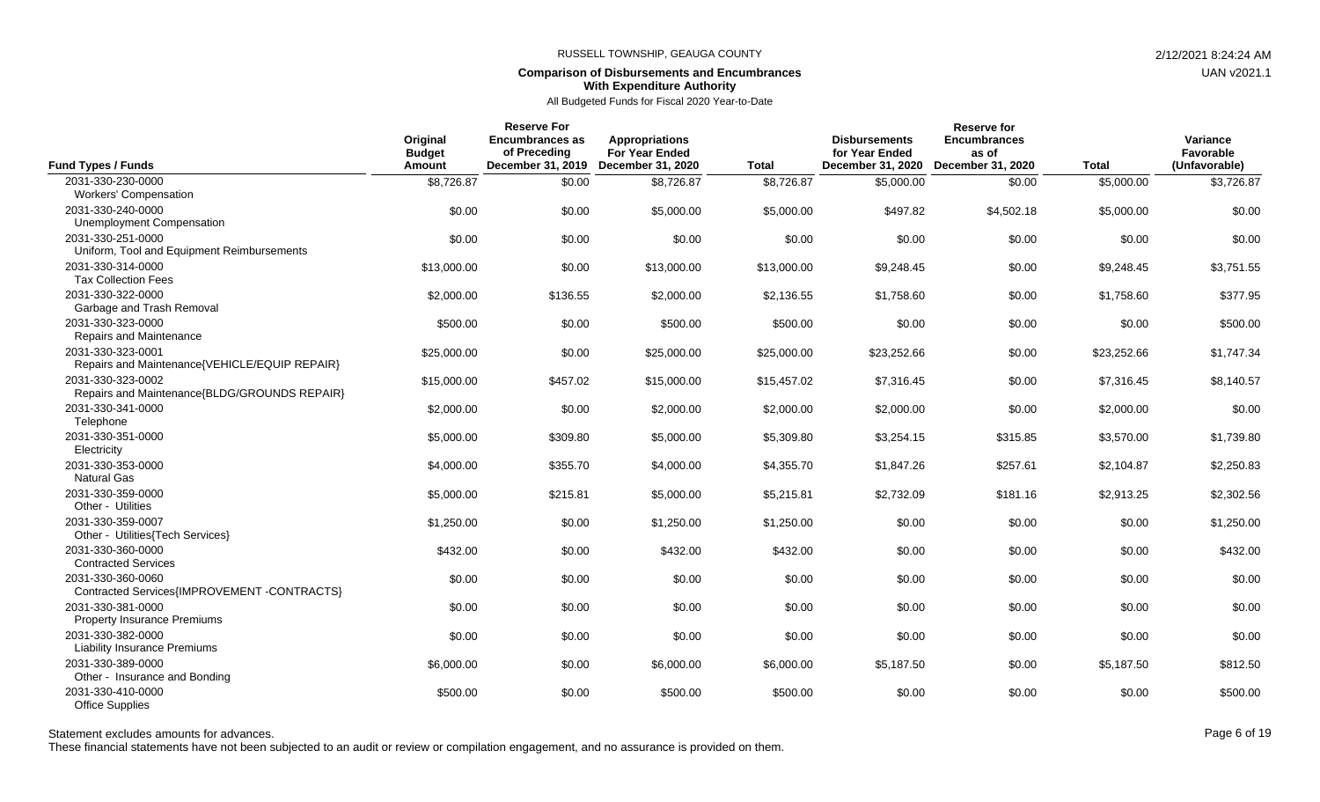### **Comparison of Disbursements and Encumbrances With Expenditure Authority**

## All Budgeted Funds for Fiscal 2020 Year-to-Date

| <b>Fund Types / Funds</b>                                               | Original<br><b>Budget</b><br>Amount | <b>Reserve For</b><br>Encumbrances as<br>of Preceding<br>December 31, 2019 | <b>Appropriations</b><br><b>For Year Ended</b><br>December 31, 2020 | <b>Total</b> | <b>Disbursements</b><br>for Year Ended<br>December 31, 2020 | <b>Reserve for</b><br><b>Encumbrances</b><br>as of<br>December 31, 2020 | <b>Total</b> | Variance<br>Favorable<br>(Unfavorable) |
|-------------------------------------------------------------------------|-------------------------------------|----------------------------------------------------------------------------|---------------------------------------------------------------------|--------------|-------------------------------------------------------------|-------------------------------------------------------------------------|--------------|----------------------------------------|
| 2031-330-230-0000<br><b>Workers' Compensation</b>                       | \$8,726.87                          | \$0.00                                                                     | \$8,726.87                                                          | \$8,726.87   | \$5,000.00                                                  | \$0.00                                                                  | \$5,000.00   | \$3,726.87                             |
| 2031-330-240-0000<br>Unemployment Compensation                          | \$0.00                              | \$0.00                                                                     | \$5,000.00                                                          | \$5,000.00   | \$497.82                                                    | \$4,502.18                                                              | \$5,000.00   | \$0.00                                 |
| 2031-330-251-0000<br>Uniform, Tool and Equipment Reimbursements         | \$0.00                              | \$0.00                                                                     | \$0.00                                                              | \$0.00       | \$0.00                                                      | \$0.00                                                                  | \$0.00       | \$0.00                                 |
| 2031-330-314-0000<br><b>Tax Collection Fees</b>                         | \$13,000.00                         | \$0.00                                                                     | \$13,000.00                                                         | \$13,000.00  | \$9,248.45                                                  | \$0.00                                                                  | \$9,248.45   | \$3,751.55                             |
| 2031-330-322-0000<br>Garbage and Trash Removal                          | \$2,000.00                          | \$136.55                                                                   | \$2,000.00                                                          | \$2,136.55   | \$1,758.60                                                  | \$0.00                                                                  | \$1,758.60   | \$377.95                               |
| 2031-330-323-0000<br>Repairs and Maintenance                            | \$500.00                            | \$0.00                                                                     | \$500.00                                                            | \$500.00     | \$0.00                                                      | \$0.00                                                                  | \$0.00       | \$500.00                               |
| 2031-330-323-0001<br>Repairs and Maintenance{VEHICLE/EQUIP REPAIR}      | \$25,000.00                         | \$0.00                                                                     | \$25,000.00                                                         | \$25,000.00  | \$23,252.66                                                 | \$0.00                                                                  | \$23,252.66  | \$1,747.34                             |
| 2031-330-323-0002<br>Repairs and Maintenance{BLDG/GROUNDS REPAIR}       | \$15,000.00                         | \$457.02                                                                   | \$15,000.00                                                         | \$15,457.02  | \$7,316.45                                                  | \$0.00                                                                  | \$7,316.45   | \$8,140.57                             |
| 2031-330-341-0000<br>Telephone                                          | \$2,000.00                          | \$0.00                                                                     | \$2,000.00                                                          | \$2,000.00   | \$2,000.00                                                  | \$0.00                                                                  | \$2,000.00   | \$0.00                                 |
| 2031-330-351-0000<br>Electricity                                        | \$5,000.00                          | \$309.80                                                                   | \$5,000.00                                                          | \$5,309.80   | \$3,254.15                                                  | \$315.85                                                                | \$3,570.00   | \$1,739.80                             |
| 2031-330-353-0000<br><b>Natural Gas</b>                                 | \$4,000.00                          | \$355.70                                                                   | \$4,000.00                                                          | \$4,355.70   | \$1,847.26                                                  | \$257.61                                                                | \$2,104.87   | \$2,250.83                             |
| 2031-330-359-0000<br>Other - Utilities                                  | \$5,000.00                          | \$215.81                                                                   | \$5,000.00                                                          | \$5,215.81   | \$2,732.09                                                  | \$181.16                                                                | \$2,913.25   | \$2,302.56                             |
| 2031-330-359-0007<br>Other - Utilities{Tech Services}                   | \$1,250.00                          | \$0.00                                                                     | \$1,250.00                                                          | \$1,250.00   | \$0.00                                                      | \$0.00                                                                  | \$0.00       | \$1,250.00                             |
| 2031-330-360-0000<br><b>Contracted Services</b>                         | \$432.00                            | \$0.00                                                                     | \$432.00                                                            | \$432.00     | \$0.00                                                      | \$0.00                                                                  | \$0.00       | \$432.00                               |
| 2031-330-360-0060<br>Contracted Services{IMPROVEMENT-CONTRACTS}         | \$0.00                              | \$0.00                                                                     | \$0.00                                                              | \$0.00       | \$0.00                                                      | \$0.00                                                                  | \$0.00       | \$0.00                                 |
| 2031-330-381-0000<br><b>Property Insurance Premiums</b>                 | \$0.00                              | \$0.00                                                                     | \$0.00                                                              | \$0.00       | \$0.00                                                      | \$0.00                                                                  | \$0.00       | \$0.00                                 |
| 2031-330-382-0000<br><b>Liability Insurance Premiums</b>                | \$0.00                              | \$0.00                                                                     | \$0.00                                                              | \$0.00       | \$0.00                                                      | \$0.00                                                                  | \$0.00       | \$0.00                                 |
| 2031-330-389-0000<br>Other - Insurance and Bonding<br>2031-330-410-0000 | \$6,000.00                          | \$0.00                                                                     | \$6,000.00                                                          | \$6,000.00   | \$5,187.50                                                  | \$0.00                                                                  | \$5,187.50   | \$812.50                               |
| Office Supplies                                                         | \$500.00                            | \$0.00                                                                     | \$500.00                                                            | \$500.00     | \$0.00                                                      | \$0.00                                                                  | \$0.00       | \$500.00                               |

## Statement excludes amounts for advances. The statement excludes amounts for advances. Page 6 of 19

These financial statements have not been subjected to an audit or review or compilation engagement, and no assurance is provided on them.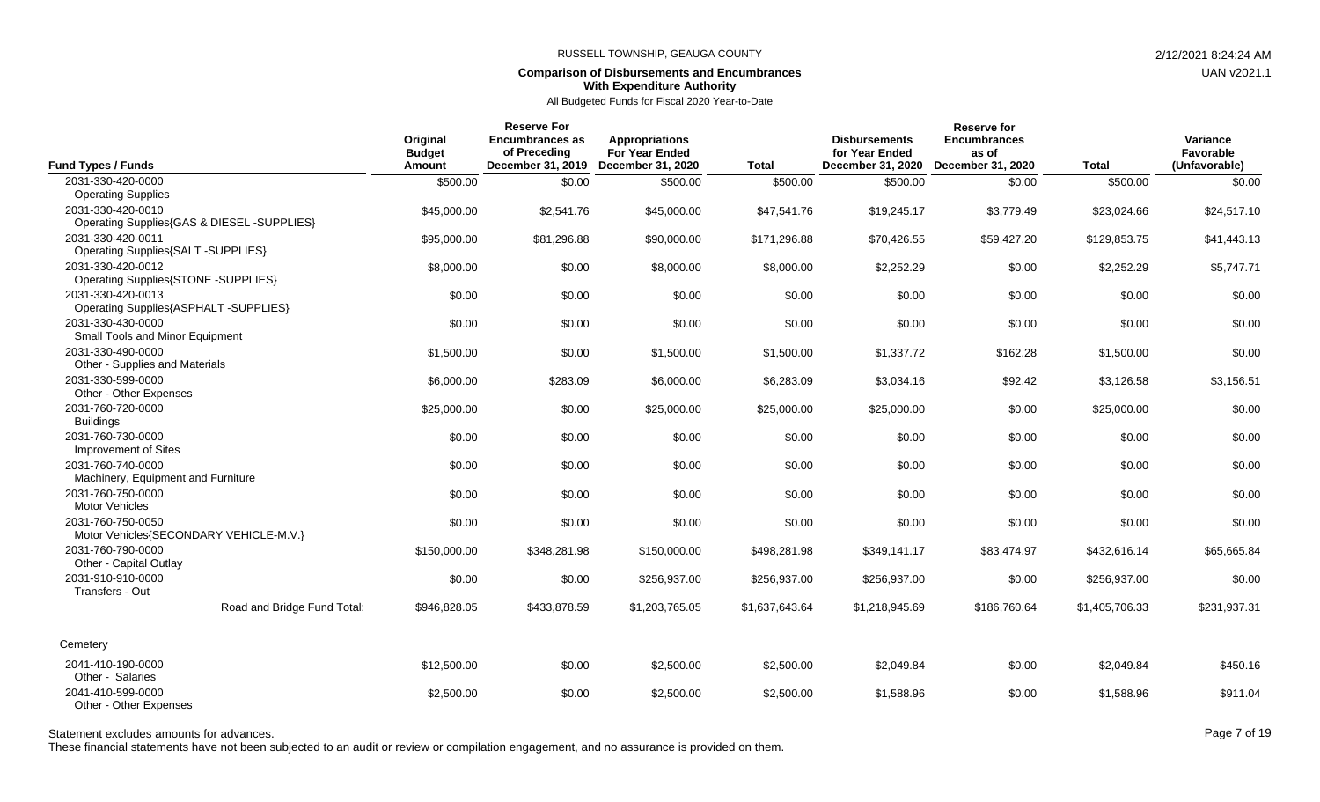## **Comparison of Disbursements and Encumbrances With Expenditure Authority**

All Budgeted Funds for Fiscal 2020 Year-to-Date

| <b>Fund Types / Funds</b>                                                                    | Original<br><b>Budget</b><br>Amount | <b>Reserve For</b><br><b>Encumbrances as</b><br>of Preceding<br>December 31, 2019 | <b>Appropriations</b><br><b>For Year Ended</b><br>December 31, 2020 | <b>Total</b>   | <b>Disbursements</b><br>for Year Ended<br>December 31, 2020 | <b>Reserve for</b><br><b>Encumbrances</b><br>as of<br>December 31, 2020 | <b>Total</b>   | Variance<br>Favorable<br>(Unfavorable) |
|----------------------------------------------------------------------------------------------|-------------------------------------|-----------------------------------------------------------------------------------|---------------------------------------------------------------------|----------------|-------------------------------------------------------------|-------------------------------------------------------------------------|----------------|----------------------------------------|
| 2031-330-420-0000                                                                            | \$500.00                            | \$0.00                                                                            | \$500.00                                                            | \$500.00       | \$500.00                                                    | \$0.00                                                                  | \$500.00       | \$0.00                                 |
| <b>Operating Supplies</b><br>2031-330-420-0010<br>Operating Supplies{GAS & DIESEL -SUPPLIES} | \$45,000.00                         | \$2,541.76                                                                        | \$45,000.00                                                         | \$47,541.76    | \$19,245.17                                                 | \$3,779.49                                                              | \$23,024.66    | \$24,517.10                            |
| 2031-330-420-0011<br>Operating Supplies{SALT -SUPPLIES}                                      | \$95,000.00                         | \$81,296.88                                                                       | \$90,000.00                                                         | \$171,296.88   | \$70,426.55                                                 | \$59,427.20                                                             | \$129,853.75   | \$41,443.13                            |
| 2031-330-420-0012<br>Operating Supplies{STONE -SUPPLIES}                                     | \$8,000.00                          | \$0.00                                                                            | \$8,000.00                                                          | \$8,000.00     | \$2,252.29                                                  | \$0.00                                                                  | \$2,252.29     | \$5,747.71                             |
| 2031-330-420-0013<br>Operating Supplies{ASPHALT -SUPPLIES}                                   | \$0.00                              | \$0.00                                                                            | \$0.00                                                              | \$0.00         | \$0.00                                                      | \$0.00                                                                  | \$0.00         | \$0.00                                 |
| 2031-330-430-0000<br>Small Tools and Minor Equipment                                         | \$0.00                              | \$0.00                                                                            | \$0.00                                                              | \$0.00         | \$0.00                                                      | \$0.00                                                                  | \$0.00         | \$0.00                                 |
| 2031-330-490-0000<br>Other - Supplies and Materials                                          | \$1,500.00                          | \$0.00                                                                            | \$1,500.00                                                          | \$1,500.00     | \$1,337.72                                                  | \$162.28                                                                | \$1,500.00     | \$0.00                                 |
| 2031-330-599-0000<br>Other - Other Expenses                                                  | \$6,000.00                          | \$283.09                                                                          | \$6,000.00                                                          | \$6,283.09     | \$3,034.16                                                  | \$92.42                                                                 | \$3,126.58     | \$3,156.51                             |
| 2031-760-720-0000<br><b>Buildings</b>                                                        | \$25,000.00                         | \$0.00                                                                            | \$25,000.00                                                         | \$25,000.00    | \$25,000.00                                                 | \$0.00                                                                  | \$25,000.00    | \$0.00                                 |
| 2031-760-730-0000<br>Improvement of Sites                                                    | \$0.00                              | \$0.00                                                                            | \$0.00                                                              | \$0.00         | \$0.00                                                      | \$0.00                                                                  | \$0.00         | \$0.00                                 |
| 2031-760-740-0000<br>Machinery, Equipment and Furniture                                      | \$0.00                              | \$0.00                                                                            | \$0.00                                                              | \$0.00         | \$0.00                                                      | \$0.00                                                                  | \$0.00         | \$0.00                                 |
| 2031-760-750-0000<br>Motor Vehicles                                                          | \$0.00                              | \$0.00                                                                            | \$0.00                                                              | \$0.00         | \$0.00                                                      | \$0.00                                                                  | \$0.00         | \$0.00                                 |
| 2031-760-750-0050<br>Motor Vehicles{SECONDARY VEHICLE-M.V.}                                  | \$0.00                              | \$0.00                                                                            | \$0.00                                                              | \$0.00         | \$0.00                                                      | \$0.00                                                                  | \$0.00         | \$0.00                                 |
| 2031-760-790-0000<br>Other - Capital Outlay                                                  | \$150,000.00                        | \$348,281.98                                                                      | \$150,000.00                                                        | \$498,281.98   | \$349,141.17                                                | \$83,474.97                                                             | \$432,616.14   | \$65,665.84                            |
| 2031-910-910-0000<br>Transfers - Out                                                         | \$0.00                              | \$0.00                                                                            | \$256,937.00                                                        | \$256,937.00   | \$256,937.00                                                | \$0.00                                                                  | \$256,937.00   | \$0.00                                 |
| Road and Bridge Fund Total:                                                                  | \$946,828.05                        | \$433,878.59                                                                      | \$1,203,765.05                                                      | \$1,637,643.64 | \$1,218,945.69                                              | \$186,760.64                                                            | \$1,405,706.33 | \$231,937.31                           |
| Cemetery                                                                                     |                                     |                                                                                   |                                                                     |                |                                                             |                                                                         |                |                                        |
| 2041-410-190-0000<br>Other - Salaries                                                        | \$12,500.00                         | \$0.00                                                                            | \$2,500.00                                                          | \$2,500.00     | \$2,049.84                                                  | \$0.00                                                                  | \$2,049.84     | \$450.16                               |
| 2041-410-599-0000<br>Other - Other Expenses                                                  | \$2,500.00                          | \$0.00                                                                            | \$2,500.00                                                          | \$2,500.00     | \$1,588.96                                                  | \$0.00                                                                  | \$1,588.96     | \$911.04                               |

Statement excludes amounts for advances. The state of the state of the state of the control of the Page 7 of 19

These financial statements have not been subjected to an audit or review or compilation engagement, and no assurance is provided on them.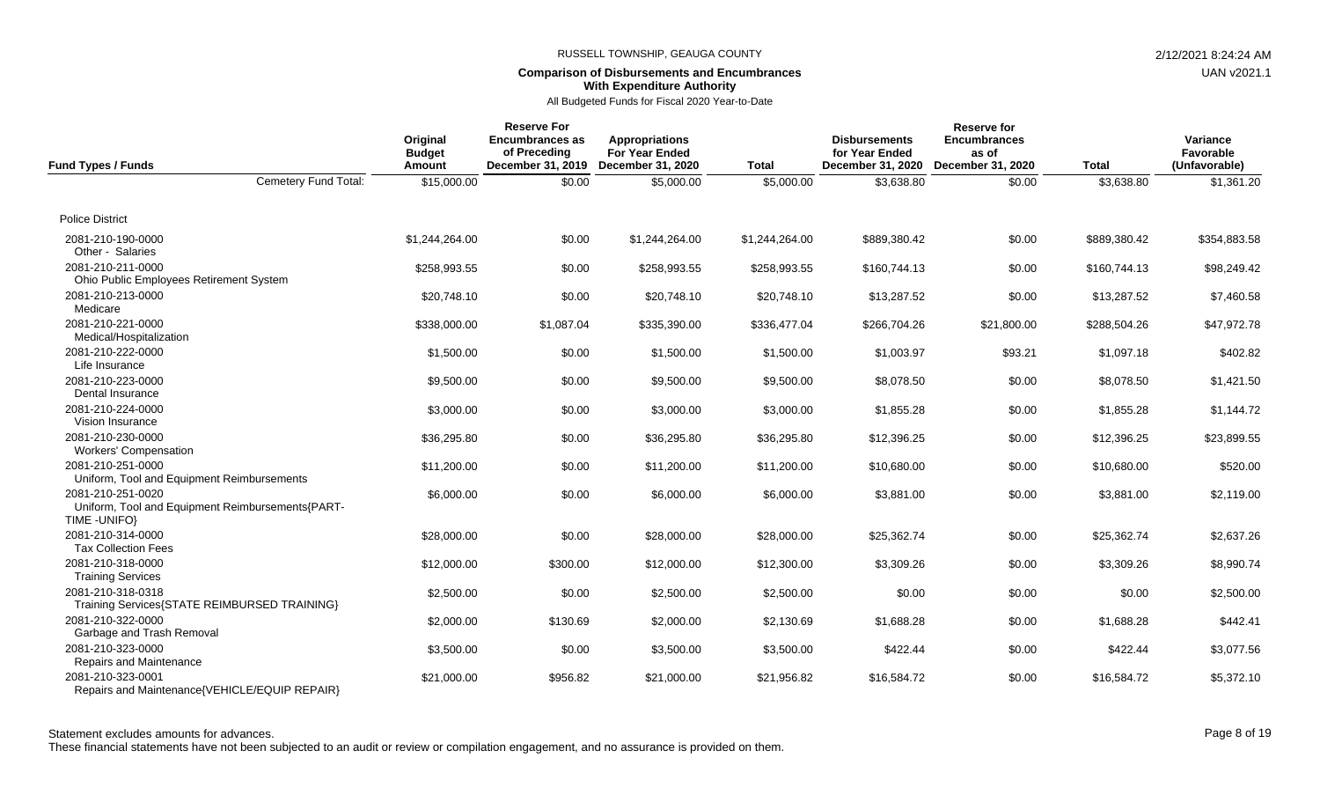# **Comparison of Disbursements and Encumbrances With Expenditure Authority**

All Budgeted Funds for Fiscal 2020 Year-to-Date

|                                                                                        | Original                | <b>Reserve For</b><br><b>Encumbrances as</b> | <b>Appropriations</b>                      |                | Reserve for<br><b>Encumbrances</b><br><b>Disbursements</b> |                            |              |                            |  |  |
|----------------------------------------------------------------------------------------|-------------------------|----------------------------------------------|--------------------------------------------|----------------|------------------------------------------------------------|----------------------------|--------------|----------------------------|--|--|
| <b>Fund Types / Funds</b>                                                              | <b>Budget</b><br>Amount | of Preceding<br>December 31, 2019            | <b>For Year Ended</b><br>December 31, 2020 | <b>Total</b>   | for Year Ended<br>December 31, 2020                        | as of<br>December 31, 2020 | <b>Total</b> | Favorable<br>(Unfavorable) |  |  |
| Cemetery Fund Total:                                                                   | \$15,000.00             | \$0.00                                       | \$5,000.00                                 | \$5,000.00     | \$3,638.80                                                 | \$0.00                     | \$3,638.80   | \$1,361.20                 |  |  |
| <b>Police District</b>                                                                 |                         |                                              |                                            |                |                                                            |                            |              |                            |  |  |
| 2081-210-190-0000<br>Other - Salaries                                                  | \$1,244,264.00          | \$0.00                                       | \$1,244,264.00                             | \$1,244,264.00 | \$889,380.42                                               | \$0.00                     | \$889,380.42 | \$354,883.58               |  |  |
| 2081-210-211-0000<br>Ohio Public Employees Retirement System                           | \$258,993.55            | \$0.00                                       | \$258,993.55                               | \$258,993.55   | \$160,744.13                                               | \$0.00                     | \$160,744.13 | \$98,249.42                |  |  |
| 2081-210-213-0000<br>Medicare                                                          | \$20,748.10             | \$0.00                                       | \$20,748.10                                | \$20,748.10    | \$13,287.52                                                | \$0.00                     | \$13,287.52  | \$7,460.58                 |  |  |
| 2081-210-221-0000<br>Medical/Hospitalization                                           | \$338,000.00            | \$1,087.04                                   | \$335,390.00                               | \$336,477.04   | \$266,704.26                                               | \$21,800.00                | \$288,504.26 | \$47,972.78                |  |  |
| 2081-210-222-0000<br>Life Insurance                                                    | \$1,500.00              | \$0.00                                       | \$1,500.00                                 | \$1,500.00     | \$1,003.97                                                 | \$93.21                    | \$1,097.18   | \$402.82                   |  |  |
| 2081-210-223-0000<br>Dental Insurance                                                  | \$9,500.00              | \$0.00                                       | \$9,500.00                                 | \$9,500.00     | \$8,078.50                                                 | \$0.00                     | \$8,078.50   | \$1,421.50                 |  |  |
| 2081-210-224-0000<br>Vision Insurance                                                  | \$3,000.00              | \$0.00                                       | \$3,000.00                                 | \$3,000.00     | \$1,855.28                                                 | \$0.00                     | \$1,855.28   | \$1,144.72                 |  |  |
| 2081-210-230-0000<br><b>Workers' Compensation</b>                                      | \$36,295.80             | \$0.00                                       | \$36,295.80                                | \$36,295.80    | \$12,396.25                                                | \$0.00                     | \$12,396.25  | \$23,899.55                |  |  |
| 2081-210-251-0000<br>Uniform, Tool and Equipment Reimbursements                        | \$11,200.00             | \$0.00                                       | \$11,200.00                                | \$11,200.00    | \$10,680.00                                                | \$0.00                     | \$10,680.00  | \$520.00                   |  |  |
| 2081-210-251-0020<br>Uniform, Tool and Equipment Reimbursements{PART-<br>TIME - UNIFO} | \$6,000.00              | \$0.00                                       | \$6,000.00                                 | \$6,000.00     | \$3,881,00                                                 | \$0.00                     | \$3,881.00   | \$2,119.00                 |  |  |
| 2081-210-314-0000<br><b>Tax Collection Fees</b>                                        | \$28,000.00             | \$0.00                                       | \$28,000.00                                | \$28,000.00    | \$25,362.74                                                | \$0.00                     | \$25,362.74  | \$2,637.26                 |  |  |
| 2081-210-318-0000<br><b>Training Services</b>                                          | \$12,000.00             | \$300.00                                     | \$12,000.00                                | \$12,300.00    | \$3,309.26                                                 | \$0.00                     | \$3,309.26   | \$8,990.74                 |  |  |
| 2081-210-318-0318<br>Training Services{STATE REIMBURSED TRAINING}                      | \$2,500.00              | \$0.00                                       | \$2,500.00                                 | \$2,500.00     | \$0.00                                                     | \$0.00                     | \$0.00       | \$2,500.00                 |  |  |
| 2081-210-322-0000<br>Garbage and Trash Removal                                         | \$2,000.00              | \$130.69                                     | \$2,000.00                                 | \$2,130.69     | \$1,688.28                                                 | \$0.00                     | \$1,688.28   | \$442.41                   |  |  |
| 2081-210-323-0000<br>Repairs and Maintenance                                           | \$3,500.00              | \$0.00                                       | \$3,500.00                                 | \$3,500.00     | \$422.44                                                   | \$0.00                     | \$422.44     | \$3,077.56                 |  |  |
| 2081-210-323-0001<br>Repairs and Maintenance{VEHICLE/EQUIP REPAIR}                     | \$21,000.00             | \$956.82                                     | \$21,000.00                                | \$21,956.82    | \$16,584.72                                                | \$0.00                     | \$16,584.72  | \$5,372.10                 |  |  |

Statement excludes amounts for advances. The state of the state of the state of the control of the Page 8 of 19

These financial statements have not been subjected to an audit or review or compilation engagement, and no assurance is provided on them.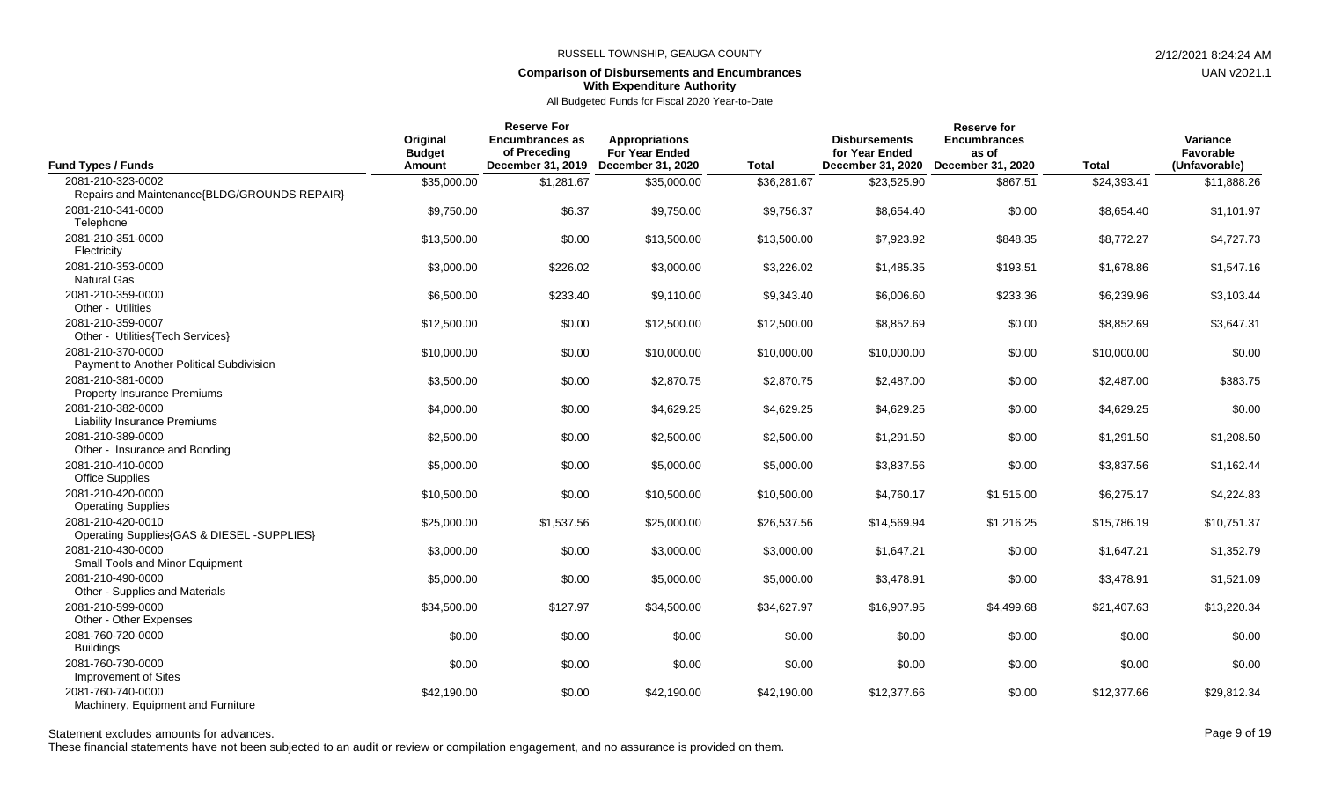## **Comparison of Disbursements and Encumbrances With Expenditure Authority**

All Budgeted Funds for Fiscal 2020 Year-to-Date

| <b>Fund Types / Funds</b>                                         | Original<br><b>Budget</b><br>Amount | <b>Reserve For</b><br><b>Encumbrances as</b><br>of Preceding<br>December 31, 2019 | <b>Appropriations</b><br><b>For Year Ended</b><br>December 31, 2020 | <b>Total</b> | <b>Disbursements</b><br>for Year Ended<br>December 31, 2020 | <b>Reserve for</b><br><b>Encumbrances</b><br>as of<br>December 31, 2020 | <b>Total</b> | Variance<br>Favorable<br>(Unfavorable) |
|-------------------------------------------------------------------|-------------------------------------|-----------------------------------------------------------------------------------|---------------------------------------------------------------------|--------------|-------------------------------------------------------------|-------------------------------------------------------------------------|--------------|----------------------------------------|
| 2081-210-323-0002<br>Repairs and Maintenance{BLDG/GROUNDS REPAIR} | \$35,000.00                         | \$1,281.67                                                                        | \$35,000.00                                                         | \$36,281.67  | \$23,525.90                                                 | \$867.51                                                                | \$24,393.41  | \$11,888.26                            |
| 2081-210-341-0000<br>Telephone                                    | \$9,750.00                          | \$6.37                                                                            | \$9,750.00                                                          | \$9,756.37   | \$8,654.40                                                  | \$0.00                                                                  | \$8,654.40   | \$1,101.97                             |
| 2081-210-351-0000<br>Electricity                                  | \$13,500.00                         | \$0.00                                                                            | \$13,500.00                                                         | \$13,500.00  | \$7,923.92                                                  | \$848.35                                                                | \$8.772.27   | \$4,727.73                             |
| 2081-210-353-0000<br><b>Natural Gas</b>                           | \$3,000.00                          | \$226.02                                                                          | \$3,000.00                                                          | \$3,226.02   | \$1,485.35                                                  | \$193.51                                                                | \$1,678.86   | \$1,547.16                             |
| 2081-210-359-0000<br>Other - Utilities                            | \$6,500.00                          | \$233.40                                                                          | \$9,110.00                                                          | \$9,343.40   | \$6,006.60                                                  | \$233.36                                                                | \$6,239.96   | \$3,103.44                             |
| 2081-210-359-0007<br>Other - Utilities{Tech Services}             | \$12,500.00                         | \$0.00                                                                            | \$12,500.00                                                         | \$12,500.00  | \$8,852.69                                                  | \$0.00                                                                  | \$8,852.69   | \$3,647.31                             |
| 2081-210-370-0000<br>Payment to Another Political Subdivision     | \$10,000.00                         | \$0.00                                                                            | \$10,000.00                                                         | \$10,000.00  | \$10,000.00                                                 | \$0.00                                                                  | \$10,000.00  | \$0.00                                 |
| 2081-210-381-0000<br><b>Property Insurance Premiums</b>           | \$3,500.00                          | \$0.00                                                                            | \$2,870.75                                                          | \$2,870.75   | \$2,487.00                                                  | \$0.00                                                                  | \$2,487.00   | \$383.75                               |
| 2081-210-382-0000<br><b>Liability Insurance Premiums</b>          | \$4,000.00                          | \$0.00                                                                            | \$4,629.25                                                          | \$4,629.25   | \$4,629.25                                                  | \$0.00                                                                  | \$4,629.25   | \$0.00                                 |
| 2081-210-389-0000<br>Other - Insurance and Bonding                | \$2,500.00                          | \$0.00                                                                            | \$2,500.00                                                          | \$2,500.00   | \$1,291.50                                                  | \$0.00                                                                  | \$1,291.50   | \$1,208.50                             |
| 2081-210-410-0000<br><b>Office Supplies</b>                       | \$5,000.00                          | \$0.00                                                                            | \$5,000.00                                                          | \$5,000.00   | \$3,837.56                                                  | \$0.00                                                                  | \$3,837.56   | \$1,162.44                             |
| 2081-210-420-0000<br><b>Operating Supplies</b>                    | \$10,500.00                         | \$0.00                                                                            | \$10,500.00                                                         | \$10,500.00  | \$4,760.17                                                  | \$1,515.00                                                              | \$6,275.17   | \$4,224.83                             |
| 2081-210-420-0010<br>Operating Supplies{GAS & DIESEL -SUPPLIES}   | \$25,000.00                         | \$1,537.56                                                                        | \$25,000.00                                                         | \$26,537.56  | \$14,569.94                                                 | \$1,216.25                                                              | \$15,786.19  | \$10,751.37                            |
| 2081-210-430-0000<br>Small Tools and Minor Equipment              | \$3,000.00                          | \$0.00                                                                            | \$3,000.00                                                          | \$3,000.00   | \$1,647.21                                                  | \$0.00                                                                  | \$1,647.21   | \$1,352.79                             |
| 2081-210-490-0000<br>Other - Supplies and Materials               | \$5,000.00                          | \$0.00                                                                            | \$5,000.00                                                          | \$5,000.00   | \$3,478.91                                                  | \$0.00                                                                  | \$3,478.91   | \$1,521.09                             |
| 2081-210-599-0000<br>Other - Other Expenses                       | \$34,500.00                         | \$127.97                                                                          | \$34,500.00                                                         | \$34,627.97  | \$16,907.95                                                 | \$4,499.68                                                              | \$21,407.63  | \$13,220.34                            |
| 2081-760-720-0000<br><b>Buildings</b>                             | \$0.00                              | \$0.00                                                                            | \$0.00                                                              | \$0.00       | \$0.00                                                      | \$0.00                                                                  | \$0.00       | \$0.00                                 |
| 2081-760-730-0000<br>Improvement of Sites                         | \$0.00                              | \$0.00                                                                            | \$0.00                                                              | \$0.00       | \$0.00                                                      | \$0.00                                                                  | \$0.00       | \$0.00                                 |
| 2081-760-740-0000<br>Machinery, Equipment and Furniture           | \$42,190.00                         | \$0.00                                                                            | \$42,190.00                                                         | \$42,190.00  | \$12,377.66                                                 | \$0.00                                                                  | \$12,377.66  | \$29,812.34                            |

## Statement excludes amounts for advances. Page 9 of 19

These financial statements have not been subjected to an audit or review or compilation engagement, and no assurance is provided on them.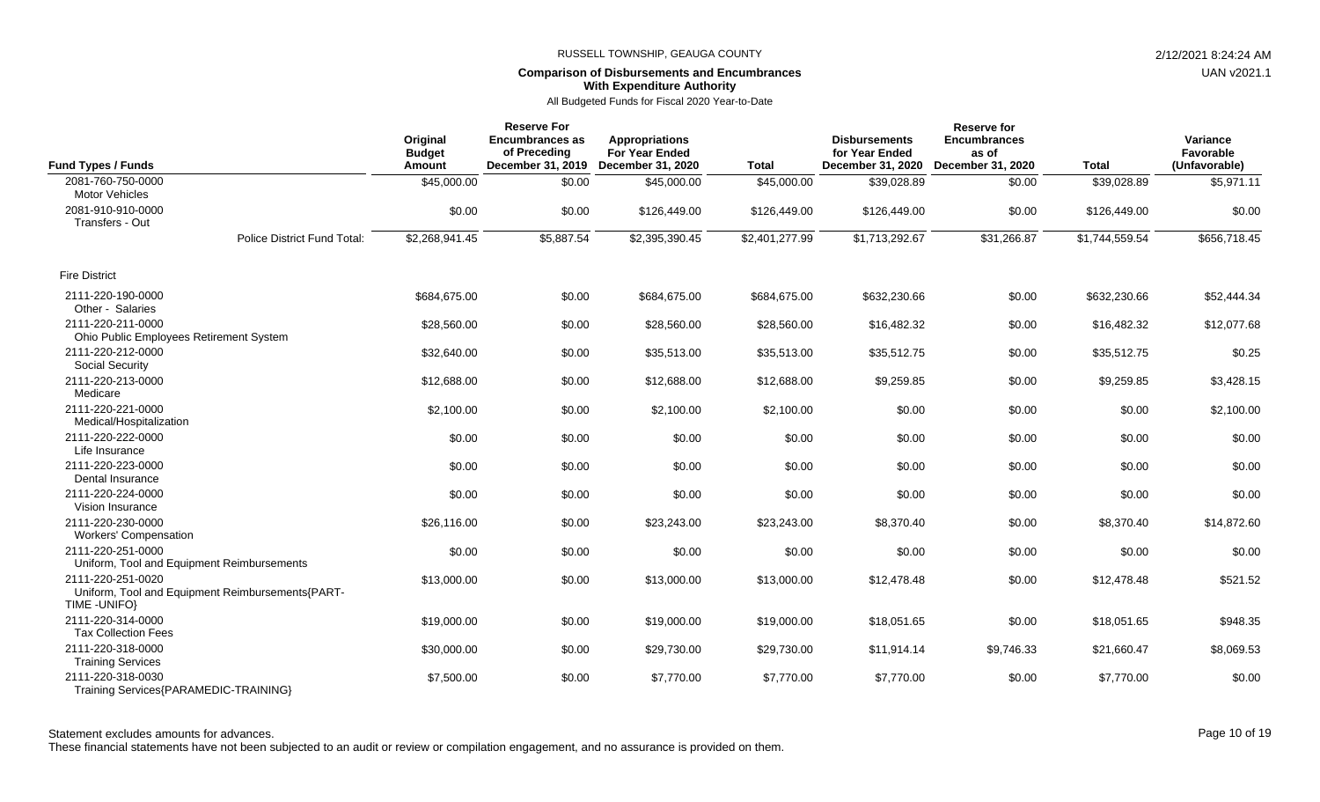# **Comparison of Disbursements and Encumbrances With Expenditure Authority**

All Budgeted Funds for Fiscal 2020 Year-to-Date

| <b>Fund Types / Funds</b>                                                              | Original<br><b>Budget</b><br><b>Amount</b> | <b>Reserve For</b><br><b>Encumbrances as</b><br>of Preceding<br>December 31, 2019 | <b>Appropriations</b><br><b>For Year Ended</b><br>December 31, 2020 | <b>Total</b>   | <b>Disbursements</b><br>for Year Ended<br>December 31, 2020 | <b>Reserve for</b><br><b>Encumbrances</b><br>as of<br>December 31, 2020 | <b>Total</b>   | Variance<br>Favorable<br>(Unfavorable) |
|----------------------------------------------------------------------------------------|--------------------------------------------|-----------------------------------------------------------------------------------|---------------------------------------------------------------------|----------------|-------------------------------------------------------------|-------------------------------------------------------------------------|----------------|----------------------------------------|
| 2081-760-750-0000<br><b>Motor Vehicles</b>                                             | \$45,000.00                                | \$0.00                                                                            | \$45,000.00                                                         | \$45,000.00    | \$39,028.89                                                 | \$0.00                                                                  | \$39,028.89    | \$5,971.11                             |
| 2081-910-910-0000<br>Transfers - Out                                                   | \$0.00                                     | \$0.00                                                                            | \$126,449.00                                                        | \$126,449.00   | \$126,449.00                                                | \$0.00                                                                  | \$126,449.00   | \$0.00                                 |
| <b>Police District Fund Total:</b>                                                     | \$2,268,941.45                             | \$5,887.54                                                                        | \$2,395,390.45                                                      | \$2,401,277.99 | \$1,713,292.67                                              | \$31,266.87                                                             | \$1,744,559.54 | \$656,718.45                           |
| <b>Fire District</b>                                                                   |                                            |                                                                                   |                                                                     |                |                                                             |                                                                         |                |                                        |
| 2111-220-190-0000<br>Other - Salaries                                                  | \$684,675.00                               | \$0.00                                                                            | \$684,675.00                                                        | \$684,675.00   | \$632,230.66                                                | \$0.00                                                                  | \$632,230.66   | \$52,444.34                            |
| 2111-220-211-0000<br>Ohio Public Employees Retirement System                           | \$28,560.00                                | \$0.00                                                                            | \$28,560.00                                                         | \$28,560.00    | \$16,482.32                                                 | \$0.00                                                                  | \$16,482.32    | \$12,077.68                            |
| 2111-220-212-0000<br>Social Security                                                   | \$32,640.00                                | \$0.00                                                                            | \$35,513.00                                                         | \$35,513.00    | \$35,512.75                                                 | \$0.00                                                                  | \$35,512.75    | \$0.25                                 |
| 2111-220-213-0000<br>Medicare                                                          | \$12,688.00                                | \$0.00                                                                            | \$12,688.00                                                         | \$12,688.00    | \$9,259.85                                                  | \$0.00                                                                  | \$9,259.85     | \$3,428.15                             |
| 2111-220-221-0000<br>Medical/Hospitalization                                           | \$2,100.00                                 | \$0.00                                                                            | \$2,100.00                                                          | \$2,100.00     | \$0.00                                                      | \$0.00                                                                  | \$0.00         | \$2,100.00                             |
| 2111-220-222-0000<br>Life Insurance                                                    | \$0.00                                     | \$0.00                                                                            | \$0.00                                                              | \$0.00         | \$0.00                                                      | \$0.00                                                                  | \$0.00         | \$0.00                                 |
| 2111-220-223-0000<br>Dental Insurance                                                  | \$0.00                                     | \$0.00                                                                            | \$0.00                                                              | \$0.00         | \$0.00                                                      | \$0.00                                                                  | \$0.00         | \$0.00                                 |
| 2111-220-224-0000<br>Vision Insurance                                                  | \$0.00                                     | \$0.00                                                                            | \$0.00                                                              | \$0.00         | \$0.00                                                      | \$0.00                                                                  | \$0.00         | \$0.00                                 |
| 2111-220-230-0000<br><b>Workers' Compensation</b>                                      | \$26,116.00                                | \$0.00                                                                            | \$23,243.00                                                         | \$23,243.00    | \$8,370.40                                                  | \$0.00                                                                  | \$8,370.40     | \$14,872.60                            |
| 2111-220-251-0000<br>Uniform, Tool and Equipment Reimbursements                        | \$0.00                                     | \$0.00                                                                            | \$0.00                                                              | \$0.00         | \$0.00                                                      | \$0.00                                                                  | \$0.00         | \$0.00                                 |
| 2111-220-251-0020<br>Uniform, Tool and Equipment Reimbursements{PART-<br>TIME - UNIFO} | \$13,000.00                                | \$0.00                                                                            | \$13,000.00                                                         | \$13,000.00    | \$12,478.48                                                 | \$0.00                                                                  | \$12,478.48    | \$521.52                               |
| 2111-220-314-0000<br><b>Tax Collection Fees</b>                                        | \$19,000.00                                | \$0.00                                                                            | \$19,000.00                                                         | \$19,000.00    | \$18,051.65                                                 | \$0.00                                                                  | \$18,051.65    | \$948.35                               |
| 2111-220-318-0000<br><b>Training Services</b>                                          | \$30,000.00                                | \$0.00                                                                            | \$29,730.00                                                         | \$29,730.00    | \$11,914.14                                                 | \$9,746.33                                                              | \$21,660.47    | \$8,069.53                             |
| 2111-220-318-0030<br>Training Services{PARAMEDIC-TRAINING}                             | \$7,500.00                                 | \$0.00                                                                            | \$7,770.00                                                          | \$7,770.00     | \$7,770.00                                                  | \$0.00                                                                  | \$7,770.00     | \$0.00                                 |

These financial statements have not been subjected to an audit or review or compilation engagement, and no assurance is provided on them.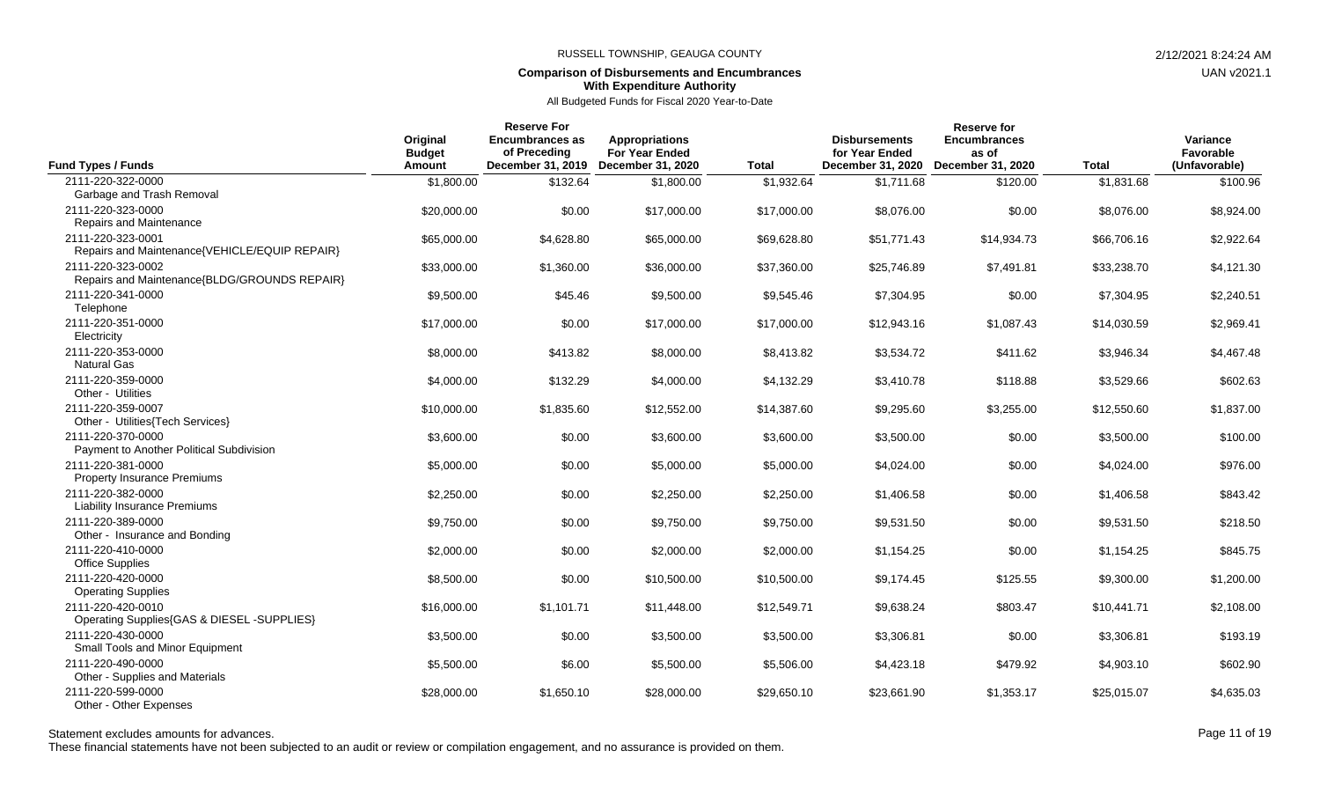## **Comparison of Disbursements and Encumbrances With Expenditure Authority**

All Budgeted Funds for Fiscal 2020 Year-to-Date

| <b>Fund Types / Funds</b>                                          | Original<br><b>Budget</b><br>Amount | <b>Reserve For</b><br><b>Encumbrances as</b><br>of Preceding<br>December 31, 2019 | <b>Appropriations</b><br><b>For Year Ended</b><br>December 31, 2020 | <b>Total</b> | <b>Disbursements</b><br>for Year Ended<br>December 31, 2020 | Reserve for<br><b>Encumbrances</b><br>as of<br>December 31, 2020 | <b>Total</b> | Variance<br>Favorable<br>(Unfavorable) |
|--------------------------------------------------------------------|-------------------------------------|-----------------------------------------------------------------------------------|---------------------------------------------------------------------|--------------|-------------------------------------------------------------|------------------------------------------------------------------|--------------|----------------------------------------|
| 2111-220-322-0000<br>Garbage and Trash Removal                     | \$1,800.00                          | \$132.64                                                                          | \$1,800.00                                                          | \$1,932.64   | \$1,711.68                                                  | \$120.00                                                         | \$1,831.68   | \$100.96                               |
| 2111-220-323-0000<br>Repairs and Maintenance                       | \$20,000.00                         | \$0.00                                                                            | \$17,000.00                                                         | \$17,000.00  | \$8,076.00                                                  | \$0.00                                                           | \$8,076.00   | \$8,924.00                             |
| 2111-220-323-0001<br>Repairs and Maintenance{VEHICLE/EQUIP REPAIR} | \$65,000.00                         | \$4,628.80                                                                        | \$65,000.00                                                         | \$69,628.80  | \$51,771.43                                                 | \$14,934.73                                                      | \$66,706.16  | \$2,922.64                             |
| 2111-220-323-0002<br>Repairs and Maintenance{BLDG/GROUNDS REPAIR}  | \$33,000.00                         | \$1,360.00                                                                        | \$36,000.00                                                         | \$37,360.00  | \$25,746.89                                                 | \$7,491.81                                                       | \$33,238.70  | \$4,121.30                             |
| 2111-220-341-0000<br>Telephone                                     | \$9,500.00                          | \$45.46                                                                           | \$9,500.00                                                          | \$9,545.46   | \$7,304.95                                                  | \$0.00                                                           | \$7,304.95   | \$2,240.51                             |
| 2111-220-351-0000<br>Electricity                                   | \$17,000.00                         | \$0.00                                                                            | \$17,000.00                                                         | \$17,000.00  | \$12,943.16                                                 | \$1,087.43                                                       | \$14,030.59  | \$2,969.41                             |
| 2111-220-353-0000<br><b>Natural Gas</b>                            | \$8,000.00                          | \$413.82                                                                          | \$8,000.00                                                          | \$8,413.82   | \$3,534.72                                                  | \$411.62                                                         | \$3,946.34   | \$4,467.48                             |
| 2111-220-359-0000<br>Other - Utilities                             | \$4,000.00                          | \$132.29                                                                          | \$4,000.00                                                          | \$4,132.29   | \$3,410.78                                                  | \$118.88                                                         | \$3,529.66   | \$602.63                               |
| 2111-220-359-0007<br>Other - Utilities{Tech Services}              | \$10,000.00                         | \$1,835.60                                                                        | \$12,552.00                                                         | \$14,387.60  | \$9,295.60                                                  | \$3,255.00                                                       | \$12,550.60  | \$1,837.00                             |
| 2111-220-370-0000<br>Payment to Another Political Subdivision      | \$3,600.00                          | \$0.00                                                                            | \$3,600.00                                                          | \$3,600.00   | \$3,500.00                                                  | \$0.00                                                           | \$3,500.00   | \$100.00                               |
| 2111-220-381-0000<br><b>Property Insurance Premiums</b>            | \$5,000.00                          | \$0.00                                                                            | \$5,000.00                                                          | \$5,000.00   | \$4,024.00                                                  | \$0.00                                                           | \$4,024.00   | \$976.00                               |
| 2111-220-382-0000<br><b>Liability Insurance Premiums</b>           | \$2,250.00                          | \$0.00                                                                            | \$2,250.00                                                          | \$2,250.00   | \$1,406.58                                                  | \$0.00                                                           | \$1,406.58   | \$843.42                               |
| 2111-220-389-0000<br>Other - Insurance and Bonding                 | \$9,750.00                          | \$0.00                                                                            | \$9,750.00                                                          | \$9,750.00   | \$9,531.50                                                  | \$0.00                                                           | \$9,531.50   | \$218.50                               |
| 2111-220-410-0000<br><b>Office Supplies</b>                        | \$2,000.00                          | \$0.00                                                                            | \$2,000.00                                                          | \$2,000.00   | \$1,154.25                                                  | \$0.00                                                           | \$1,154.25   | \$845.75                               |
| 2111-220-420-0000<br><b>Operating Supplies</b>                     | \$8,500.00                          | \$0.00                                                                            | \$10,500.00                                                         | \$10,500.00  | \$9,174.45                                                  | \$125.55                                                         | \$9,300.00   | \$1,200.00                             |
| 2111-220-420-0010<br>Operating Supplies{GAS & DIESEL -SUPPLIES}    | \$16,000.00                         | \$1,101.71                                                                        | \$11,448.00                                                         | \$12,549.71  | \$9,638.24                                                  | \$803.47                                                         | \$10,441.71  | \$2,108.00                             |
| 2111-220-430-0000<br>Small Tools and Minor Equipment               | \$3,500.00                          | \$0.00                                                                            | \$3,500.00                                                          | \$3,500.00   | \$3,306.81                                                  | \$0.00                                                           | \$3,306.81   | \$193.19                               |
| 2111-220-490-0000<br>Other - Supplies and Materials                | \$5,500.00                          | \$6.00                                                                            | \$5,500.00                                                          | \$5,506.00   | \$4,423.18                                                  | \$479.92                                                         | \$4,903.10   | \$602.90                               |
| 2111-220-599-0000<br>Other - Other Expenses                        | \$28,000.00                         | \$1,650.10                                                                        | \$28,000.00                                                         | \$29,650.10  | \$23,661.90                                                 | \$1,353.17                                                       | \$25,015.07  | \$4,635.03                             |

Statement excludes amounts for advances. The statement excludes amounts for advances. Page 11 of 19

These financial statements have not been subjected to an audit or review or compilation engagement, and no assurance is provided on them.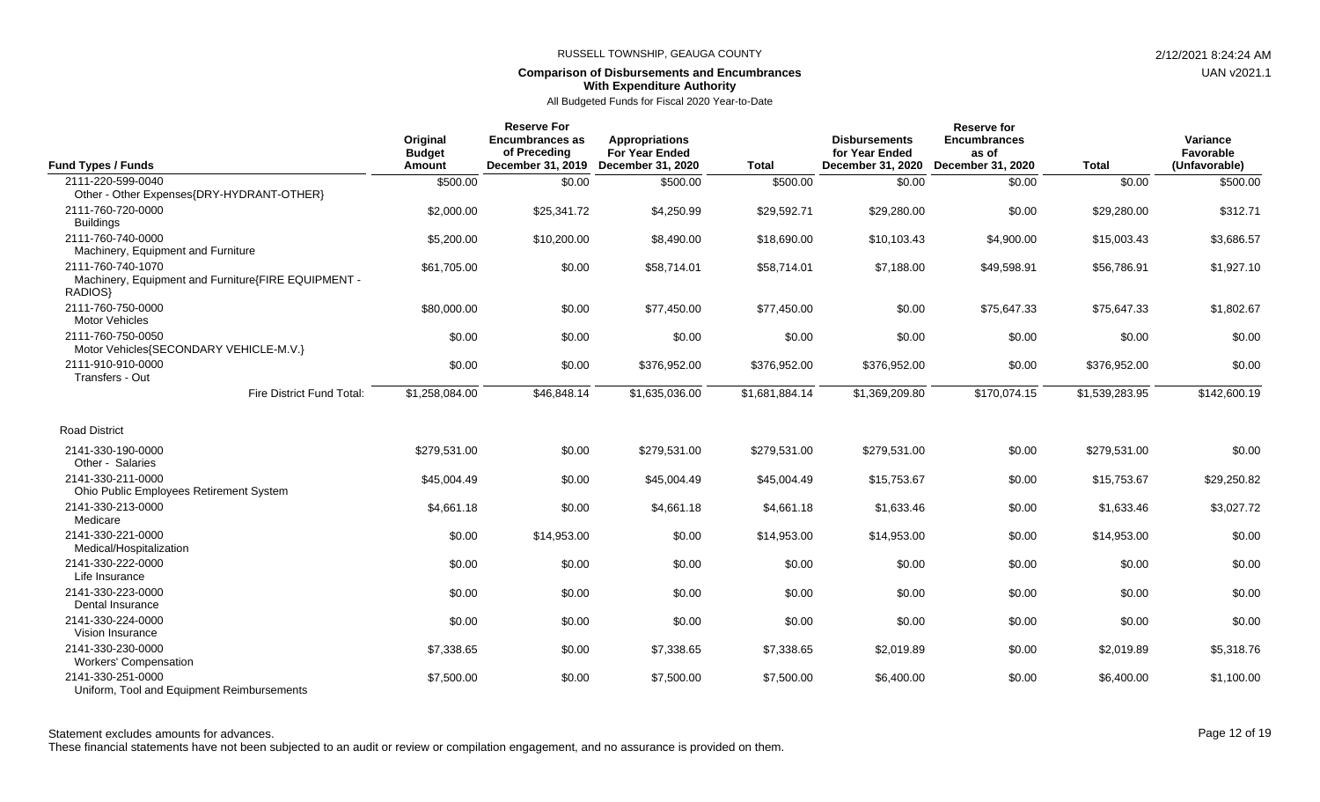## **Comparison of Disbursements and Encumbrances With Expenditure Authority**

All Budgeted Funds for Fiscal 2020 Year-to-Date

| <b>Fund Types / Funds</b>                                                           | Original<br><b>Budget</b><br><b>Amount</b> | <b>Reserve For</b><br><b>Encumbrances as</b><br>of Preceding<br>December 31, 2019 | <b>Appropriations</b><br><b>For Year Ended</b><br>December 31, 2020 | <b>Total</b>   | <b>Disbursements</b><br>for Year Ended<br>December 31, 2020 | <b>Reserve for</b><br><b>Encumbrances</b><br>as of<br>December 31, 2020 | <b>Total</b>   | Variance<br>Favorable<br>(Unfavorable) |
|-------------------------------------------------------------------------------------|--------------------------------------------|-----------------------------------------------------------------------------------|---------------------------------------------------------------------|----------------|-------------------------------------------------------------|-------------------------------------------------------------------------|----------------|----------------------------------------|
| 2111-220-599-0040<br>Other - Other Expenses{DRY-HYDRANT-OTHER}                      | \$500.00                                   | \$0.00                                                                            | \$500.00                                                            | \$500.00       | \$0.00                                                      | \$0.00                                                                  | \$0.00         | \$500.00                               |
| 2111-760-720-0000<br><b>Buildings</b>                                               | \$2,000.00                                 | \$25,341.72                                                                       | \$4,250.99                                                          | \$29,592.71    | \$29,280.00                                                 | \$0.00                                                                  | \$29,280.00    | \$312.71                               |
| 2111-760-740-0000<br>Machinery, Equipment and Furniture                             | \$5,200.00                                 | \$10,200.00                                                                       | \$8,490.00                                                          | \$18,690.00    | \$10,103.43                                                 | \$4,900.00                                                              | \$15,003.43    | \$3,686.57                             |
| 2111-760-740-1070<br>Machinery, Equipment and Furniture{FIRE EQUIPMENT -<br>RADIOS} | \$61,705.00                                | \$0.00                                                                            | \$58,714.01                                                         | \$58,714.01    | \$7,188.00                                                  | \$49,598.91                                                             | \$56,786.91    | \$1,927.10                             |
| 2111-760-750-0000<br><b>Motor Vehicles</b>                                          | \$80,000.00                                | \$0.00                                                                            | \$77,450.00                                                         | \$77,450.00    | \$0.00                                                      | \$75,647.33                                                             | \$75,647.33    | \$1,802.67                             |
| 2111-760-750-0050<br>Motor Vehicles{SECONDARY VEHICLE-M.V.}                         | \$0.00                                     | \$0.00                                                                            | \$0.00                                                              | \$0.00         | \$0.00                                                      | \$0.00                                                                  | \$0.00         | \$0.00                                 |
| 2111-910-910-0000<br>Transfers - Out                                                | \$0.00                                     | \$0.00                                                                            | \$376,952.00                                                        | \$376,952.00   | \$376,952.00                                                | \$0.00                                                                  | \$376,952.00   | \$0.00                                 |
| Fire District Fund Total:                                                           | \$1,258,084.00                             | \$46,848.14                                                                       | \$1,635,036.00                                                      | \$1,681,884.14 | \$1,369,209.80                                              | \$170,074.15                                                            | \$1,539,283.95 | \$142,600.19                           |
| <b>Road District</b>                                                                |                                            |                                                                                   |                                                                     |                |                                                             |                                                                         |                |                                        |
| 2141-330-190-0000<br>Other - Salaries                                               | \$279,531.00                               | \$0.00                                                                            | \$279,531.00                                                        | \$279,531.00   | \$279,531.00                                                | \$0.00                                                                  | \$279,531.00   | \$0.00                                 |
| 2141-330-211-0000<br>Ohio Public Employees Retirement System                        | \$45,004.49                                | \$0.00                                                                            | \$45,004.49                                                         | \$45,004.49    | \$15,753.67                                                 | \$0.00                                                                  | \$15,753.67    | \$29,250.82                            |
| 2141-330-213-0000<br>Medicare                                                       | \$4,661.18                                 | \$0.00                                                                            | \$4,661.18                                                          | \$4,661.18     | \$1,633.46                                                  | \$0.00                                                                  | \$1,633.46     | \$3,027.72                             |
| 2141-330-221-0000<br>Medical/Hospitalization                                        | \$0.00                                     | \$14,953.00                                                                       | \$0.00                                                              | \$14,953.00    | \$14,953.00                                                 | \$0.00                                                                  | \$14,953.00    | \$0.00                                 |
| 2141-330-222-0000<br>Life Insurance                                                 | \$0.00                                     | \$0.00                                                                            | \$0.00                                                              | \$0.00         | \$0.00                                                      | \$0.00                                                                  | \$0.00         | \$0.00                                 |
| 2141-330-223-0000<br>Dental Insurance                                               | \$0.00                                     | \$0.00                                                                            | \$0.00                                                              | \$0.00         | \$0.00                                                      | \$0.00                                                                  | \$0.00         | \$0.00                                 |
| 2141-330-224-0000<br>Vision Insurance                                               | \$0.00                                     | \$0.00                                                                            | \$0.00                                                              | \$0.00         | \$0.00                                                      | \$0.00                                                                  | \$0.00         | \$0.00                                 |
| 2141-330-230-0000<br><b>Workers' Compensation</b>                                   | \$7,338.65                                 | \$0.00                                                                            | \$7,338.65                                                          | \$7,338.65     | \$2,019.89                                                  | \$0.00                                                                  | \$2,019.89     | \$5,318.76                             |
| 2141-330-251-0000<br>Uniform, Tool and Equipment Reimbursements                     | \$7,500.00                                 | \$0.00                                                                            | \$7,500.00                                                          | \$7,500.00     | \$6,400.00                                                  | \$0.00                                                                  | \$6,400.00     | \$1,100.00                             |

Statement excludes amounts for advances. The state of the state of the state of the control of the Page 12 of 19

These financial statements have not been subjected to an audit or review or compilation engagement, and no assurance is provided on them.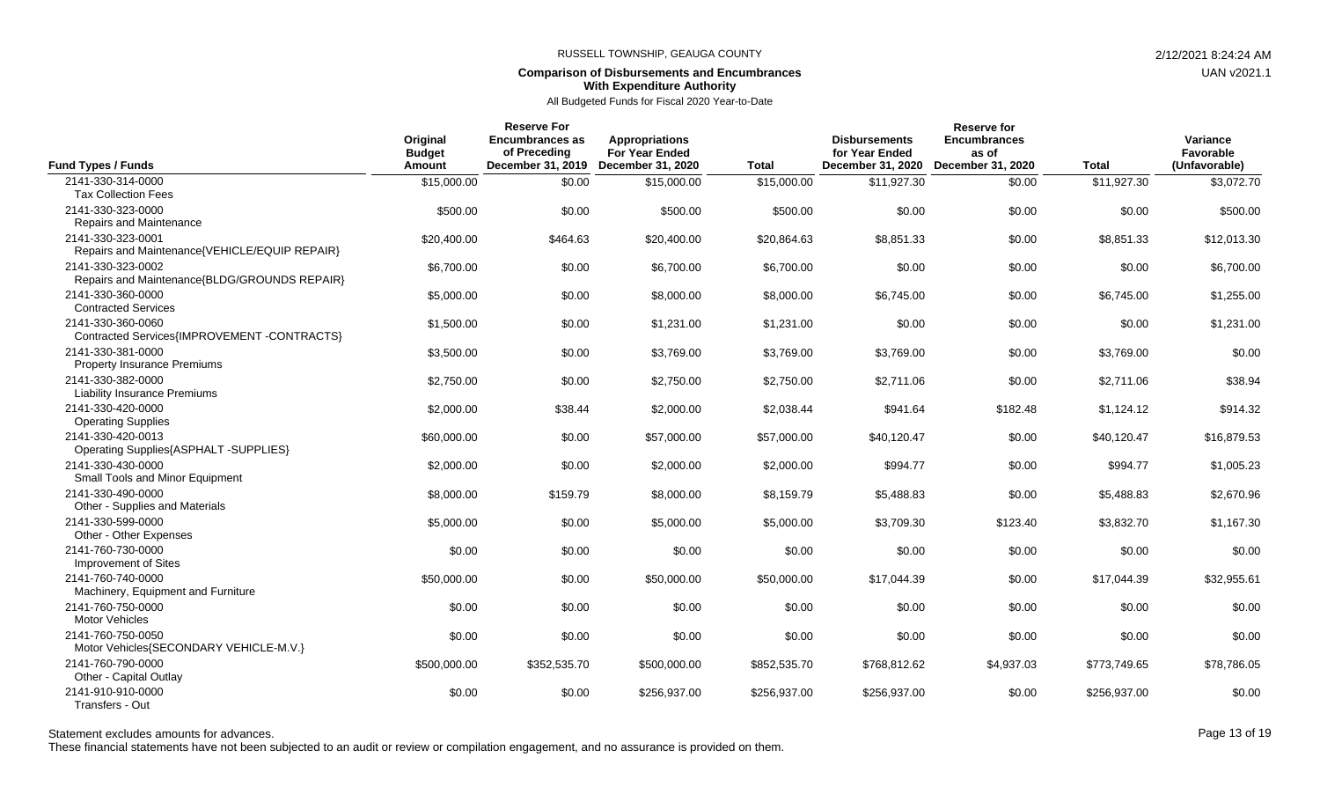## **Comparison of Disbursements and Encumbrances With Expenditure Authority**

All Budgeted Funds for Fiscal 2020 Year-to-Date

| <b>Fund Types / Funds</b>                                          | Original<br><b>Budget</b><br>Amount | <b>Reserve For</b><br><b>Encumbrances as</b><br>of Preceding<br>December 31, 2019 | <b>Appropriations</b><br><b>For Year Ended</b><br>December 31, 2020 | <b>Total</b> | <b>Disbursements</b><br>for Year Ended<br>December 31, 2020 | Reserve for<br><b>Encumbrances</b><br>as of<br>December 31, 2020 | <b>Total</b> | Variance<br>Favorable<br>(Unfavorable) |
|--------------------------------------------------------------------|-------------------------------------|-----------------------------------------------------------------------------------|---------------------------------------------------------------------|--------------|-------------------------------------------------------------|------------------------------------------------------------------|--------------|----------------------------------------|
| 2141-330-314-0000                                                  | \$15,000.00                         | \$0.00                                                                            | \$15,000.00                                                         | \$15,000.00  | \$11,927.30                                                 | \$0.00                                                           | \$11,927.30  | \$3,072.70                             |
| <b>Tax Collection Fees</b>                                         |                                     |                                                                                   |                                                                     |              |                                                             |                                                                  |              |                                        |
| 2141-330-323-0000                                                  | \$500.00                            | \$0.00                                                                            | \$500.00                                                            | \$500.00     | \$0.00                                                      | \$0.00                                                           | \$0.00       | \$500.00                               |
| Repairs and Maintenance                                            |                                     |                                                                                   |                                                                     |              |                                                             |                                                                  |              |                                        |
| 2141-330-323-0001<br>Repairs and Maintenance{VEHICLE/EQUIP REPAIR} | \$20,400.00                         | \$464.63                                                                          | \$20,400.00                                                         | \$20,864.63  | \$8,851.33                                                  | \$0.00                                                           | \$8,851.33   | \$12,013.30                            |
| 2141-330-323-0002                                                  |                                     |                                                                                   |                                                                     |              |                                                             |                                                                  |              |                                        |
| Repairs and Maintenance{BLDG/GROUNDS REPAIR}                       | \$6,700.00                          | \$0.00                                                                            | \$6,700.00                                                          | \$6,700.00   | \$0.00                                                      | \$0.00                                                           | \$0.00       | \$6,700.00                             |
| 2141-330-360-0000                                                  | \$5,000.00                          | \$0.00                                                                            | \$8,000.00                                                          | \$8,000.00   | \$6,745.00                                                  | \$0.00                                                           | \$6,745.00   | \$1,255.00                             |
| <b>Contracted Services</b>                                         |                                     |                                                                                   |                                                                     |              |                                                             |                                                                  |              |                                        |
| 2141-330-360-0060                                                  | \$1,500.00                          | \$0.00                                                                            | \$1,231.00                                                          | \$1,231.00   | \$0.00                                                      | \$0.00                                                           | \$0.00       | \$1,231.00                             |
| Contracted Services{IMPROVEMENT-CONTRACTS}                         |                                     |                                                                                   |                                                                     |              |                                                             |                                                                  |              |                                        |
| 2141-330-381-0000                                                  | \$3,500.00                          | \$0.00                                                                            | \$3,769.00                                                          | \$3,769.00   | \$3,769.00                                                  | \$0.00                                                           | \$3,769.00   | \$0.00                                 |
| <b>Property Insurance Premiums</b>                                 |                                     |                                                                                   |                                                                     |              |                                                             |                                                                  |              |                                        |
| 2141-330-382-0000                                                  | \$2,750.00                          | \$0.00                                                                            | \$2,750.00                                                          | \$2,750.00   | \$2,711.06                                                  | \$0.00                                                           | \$2,711.06   | \$38.94                                |
| <b>Liability Insurance Premiums</b>                                |                                     |                                                                                   |                                                                     |              |                                                             |                                                                  |              |                                        |
| 2141-330-420-0000                                                  | \$2,000.00                          | \$38.44                                                                           | \$2,000.00                                                          | \$2,038.44   | \$941.64                                                    | \$182.48                                                         | \$1.124.12   | \$914.32                               |
| <b>Operating Supplies</b>                                          |                                     |                                                                                   |                                                                     |              |                                                             |                                                                  |              |                                        |
| 2141-330-420-0013                                                  | \$60,000.00                         | \$0.00                                                                            | \$57,000.00                                                         | \$57,000.00  | \$40,120.47                                                 | \$0.00                                                           | \$40,120.47  | \$16,879.53                            |
| Operating Supplies{ASPHALT -SUPPLIES}                              |                                     |                                                                                   |                                                                     |              |                                                             |                                                                  |              |                                        |
| 2141-330-430-0000                                                  | \$2,000.00                          | \$0.00                                                                            | \$2,000.00                                                          | \$2,000.00   | \$994.77                                                    | \$0.00                                                           | \$994.77     | \$1,005.23                             |
| Small Tools and Minor Equipment                                    |                                     |                                                                                   |                                                                     |              |                                                             |                                                                  |              |                                        |
| 2141-330-490-0000<br>Other - Supplies and Materials                | \$8,000.00                          | \$159.79                                                                          | \$8,000.00                                                          | \$8,159.79   | \$5,488.83                                                  | \$0.00                                                           | \$5,488.83   | \$2,670.96                             |
| 2141-330-599-0000                                                  |                                     |                                                                                   |                                                                     |              |                                                             |                                                                  |              |                                        |
| Other - Other Expenses                                             | \$5,000.00                          | \$0.00                                                                            | \$5,000.00                                                          | \$5,000.00   | \$3,709.30                                                  | \$123.40                                                         | \$3,832.70   | \$1,167.30                             |
| 2141-760-730-0000                                                  | \$0.00                              | \$0.00                                                                            | \$0.00                                                              | \$0.00       | \$0.00                                                      | \$0.00                                                           | \$0.00       | \$0.00                                 |
| Improvement of Sites                                               |                                     |                                                                                   |                                                                     |              |                                                             |                                                                  |              |                                        |
| 2141-760-740-0000                                                  | \$50,000.00                         | \$0.00                                                                            | \$50,000.00                                                         | \$50,000.00  | \$17.044.39                                                 | \$0.00                                                           | \$17,044.39  | \$32,955.61                            |
| Machinery, Equipment and Furniture                                 |                                     |                                                                                   |                                                                     |              |                                                             |                                                                  |              |                                        |
| 2141-760-750-0000                                                  | \$0.00                              | \$0.00                                                                            | \$0.00                                                              | \$0.00       | \$0.00                                                      | \$0.00                                                           | \$0.00       | \$0.00                                 |
| <b>Motor Vehicles</b>                                              |                                     |                                                                                   |                                                                     |              |                                                             |                                                                  |              |                                        |
| 2141-760-750-0050                                                  | \$0.00                              | \$0.00                                                                            | \$0.00                                                              | \$0.00       | \$0.00                                                      | \$0.00                                                           | \$0.00       | \$0.00                                 |
| Motor Vehicles{SECONDARY VEHICLE-M.V.}                             |                                     |                                                                                   |                                                                     |              |                                                             |                                                                  |              |                                        |
| 2141-760-790-0000                                                  | \$500,000.00                        | \$352,535.70                                                                      | \$500,000.00                                                        | \$852,535.70 | \$768,812.62                                                | \$4,937.03                                                       | \$773,749.65 | \$78,786.05                            |
| Other - Capital Outlay                                             |                                     |                                                                                   |                                                                     |              |                                                             |                                                                  |              |                                        |
| 2141-910-910-0000                                                  | \$0.00                              | \$0.00                                                                            | \$256,937.00                                                        | \$256,937.00 | \$256,937,00                                                | \$0.00                                                           | \$256,937.00 | \$0.00                                 |
| Transfers - Out                                                    |                                     |                                                                                   |                                                                     |              |                                                             |                                                                  |              |                                        |

These financial statements have not been subjected to an audit or review or compilation engagement, and no assurance is provided on them.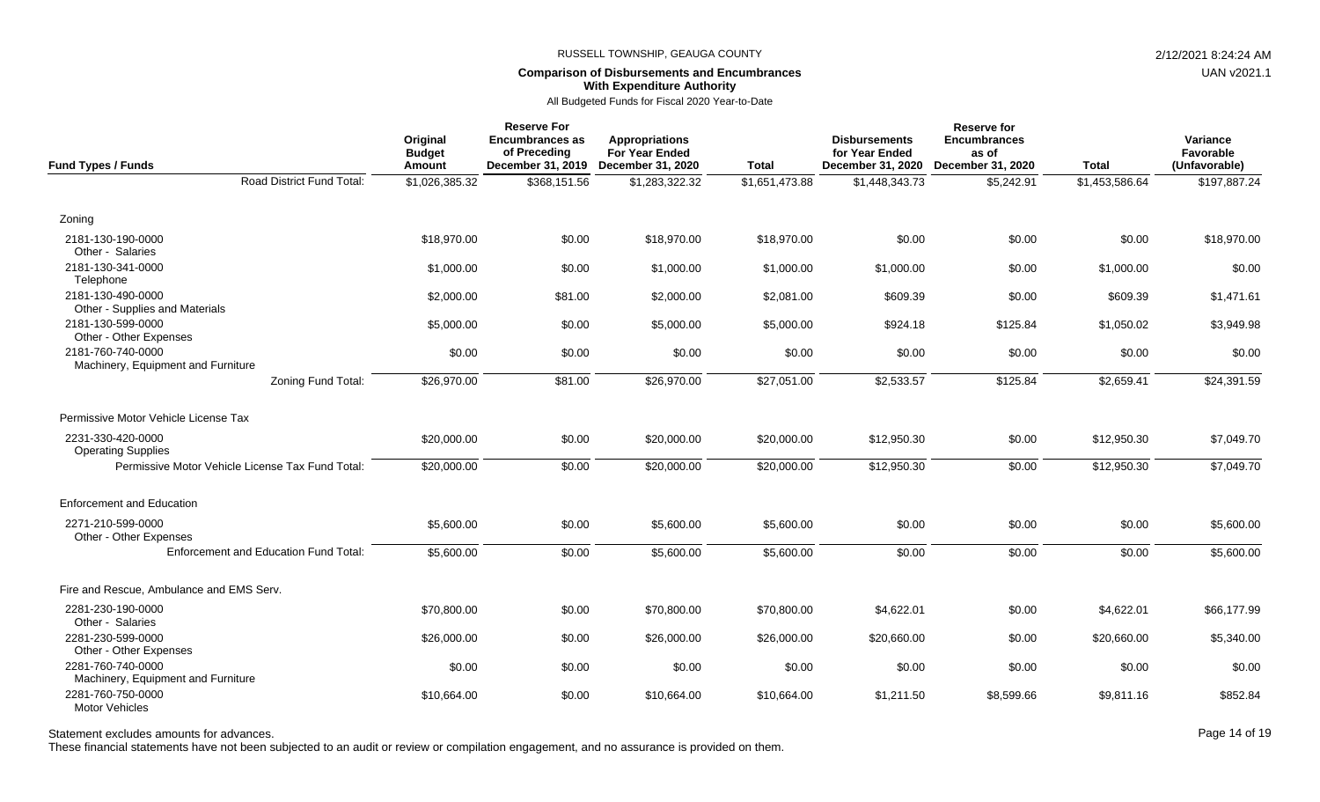## **Comparison of Disbursements and Encumbrances With Expenditure Authority**

All Budgeted Funds for Fiscal 2020 Year-to-Date

| <b>Fund Types / Funds</b>                               | Original<br><b>Budget</b><br>Amount | <b>Reserve For</b><br><b>Encumbrances as</b><br>of Preceding<br>December 31, 2019 | <b>Appropriations</b><br>For Year Ended<br><b>December 31, 2020</b> | <b>Total</b>   | <b>Disbursements</b><br>for Year Ended<br>December 31, 2020 | <b>Reserve for</b><br><b>Encumbrances</b><br>as of<br>December 31, 2020 | <b>Total</b>   | Variance<br>Favorable<br>(Unfavorable) |
|---------------------------------------------------------|-------------------------------------|-----------------------------------------------------------------------------------|---------------------------------------------------------------------|----------------|-------------------------------------------------------------|-------------------------------------------------------------------------|----------------|----------------------------------------|
| Road District Fund Total:                               | \$1,026,385.32                      | \$368,151.56                                                                      | \$1,283,322.32                                                      | \$1,651,473.88 | \$1,448,343.73                                              | \$5,242.91                                                              | \$1,453,586.64 | \$197,887.24                           |
| Zoning                                                  |                                     |                                                                                   |                                                                     |                |                                                             |                                                                         |                |                                        |
| 2181-130-190-0000<br>Other - Salaries                   | \$18,970.00                         | \$0.00                                                                            | \$18,970.00                                                         | \$18,970.00    | \$0.00                                                      | \$0.00                                                                  | \$0.00         | \$18,970.00                            |
| 2181-130-341-0000<br>Telephone                          | \$1,000.00                          | \$0.00                                                                            | \$1,000.00                                                          | \$1,000.00     | \$1,000.00                                                  | \$0.00                                                                  | \$1,000.00     | \$0.00                                 |
| 2181-130-490-0000<br>Other - Supplies and Materials     | \$2,000.00                          | \$81.00                                                                           | \$2,000.00                                                          | \$2,081.00     | \$609.39                                                    | \$0.00                                                                  | \$609.39       | \$1,471.61                             |
| 2181-130-599-0000<br>Other - Other Expenses             | \$5,000.00                          | \$0.00                                                                            | \$5,000.00                                                          | \$5,000.00     | \$924.18                                                    | \$125.84                                                                | \$1,050.02     | \$3,949.98                             |
| 2181-760-740-0000<br>Machinery, Equipment and Furniture | \$0.00                              | \$0.00                                                                            | \$0.00                                                              | \$0.00         | \$0.00                                                      | \$0.00                                                                  | \$0.00         | \$0.00                                 |
| Zoning Fund Total:                                      | \$26,970.00                         | \$81.00                                                                           | \$26,970.00                                                         | \$27,051.00    | \$2,533.57                                                  | \$125.84                                                                | \$2,659.41     | \$24,391.59                            |
| Permissive Motor Vehicle License Tax                    |                                     |                                                                                   |                                                                     |                |                                                             |                                                                         |                |                                        |
| 2231-330-420-0000<br><b>Operating Supplies</b>          | \$20,000.00                         | \$0.00                                                                            | \$20,000.00                                                         | \$20,000.00    | \$12,950.30                                                 | \$0.00                                                                  | \$12,950.30    | \$7,049.70                             |
| Permissive Motor Vehicle License Tax Fund Total:        | \$20,000.00                         | \$0.00                                                                            | \$20,000.00                                                         | \$20,000.00    | \$12,950.30                                                 | \$0.00                                                                  | \$12,950.30    | \$7,049.70                             |
| <b>Enforcement and Education</b>                        |                                     |                                                                                   |                                                                     |                |                                                             |                                                                         |                |                                        |
| 2271-210-599-0000<br>Other - Other Expenses             | \$5,600.00                          | \$0.00                                                                            | \$5,600.00                                                          | \$5,600.00     | \$0.00                                                      | \$0.00                                                                  | \$0.00         | \$5,600.00                             |
| <b>Enforcement and Education Fund Total:</b>            | \$5,600.00                          | \$0.00                                                                            | \$5,600.00                                                          | \$5,600.00     | \$0.00                                                      | \$0.00                                                                  | \$0.00         | \$5,600.00                             |
| Fire and Rescue, Ambulance and EMS Serv.                |                                     |                                                                                   |                                                                     |                |                                                             |                                                                         |                |                                        |
| 2281-230-190-0000<br>Other - Salaries                   | \$70,800.00                         | \$0.00                                                                            | \$70,800.00                                                         | \$70,800.00    | \$4,622.01                                                  | \$0.00                                                                  | \$4,622.01     | \$66,177.99                            |
| 2281-230-599-0000<br>Other - Other Expenses             | \$26,000.00                         | \$0.00                                                                            | \$26,000.00                                                         | \$26,000.00    | \$20,660.00                                                 | \$0.00                                                                  | \$20,660.00    | \$5,340.00                             |
| 2281-760-740-0000<br>Machinery, Equipment and Furniture | \$0.00                              | \$0.00                                                                            | \$0.00                                                              | \$0.00         | \$0.00                                                      | \$0.00                                                                  | \$0.00         | \$0.00                                 |
| 2281-760-750-0000<br>Motor Vehicles                     | \$10,664.00                         | \$0.00                                                                            | \$10,664.00                                                         | \$10,664.00    | \$1,211.50                                                  | \$8,599.66                                                              | \$9,811.16     | \$852.84                               |

## Statement excludes amounts for advances. The state of the state of the state of the control of the control of the Page 14 of 19

These financial statements have not been subjected to an audit or review or compilation engagement, and no assurance is provided on them.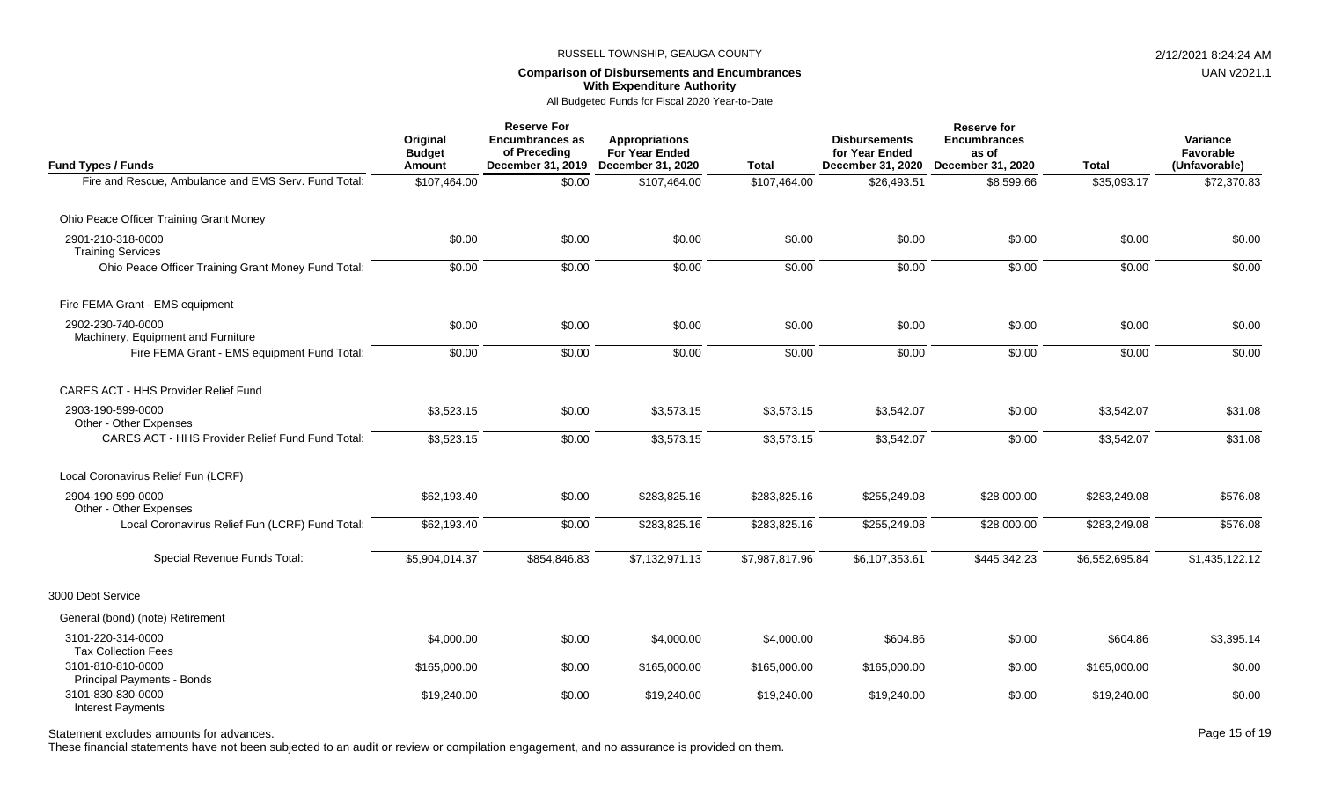## **Comparison of Disbursements and Encumbrances With Expenditure Authority**

All Budgeted Funds for Fiscal 2020 Year-to-Date

| <b>Fund Types / Funds</b>                               | Original<br><b>Budget</b><br>Amount | <b>Reserve For</b><br><b>Encumbrances as</b><br>of Preceding | <b>Appropriations</b><br>For Year Ended<br>December 31, 2019 December 31, 2020 | <b>Total</b>   | <b>Disbursements</b><br>for Year Ended<br>December 31, 2020 | <b>Reserve for</b><br><b>Encumbrances</b><br>as of<br>December 31, 2020 | <b>Total</b>   | Variance<br>Favorable<br>(Unfavorable) |
|---------------------------------------------------------|-------------------------------------|--------------------------------------------------------------|--------------------------------------------------------------------------------|----------------|-------------------------------------------------------------|-------------------------------------------------------------------------|----------------|----------------------------------------|
| Fire and Rescue, Ambulance and EMS Serv. Fund Total:    | \$107,464.00                        | \$0.00                                                       | \$107,464.00                                                                   | \$107,464.00   | \$26,493.51                                                 | \$8,599.66                                                              | \$35,093.17    | \$72,370.83                            |
| Ohio Peace Officer Training Grant Money                 |                                     |                                                              |                                                                                |                |                                                             |                                                                         |                |                                        |
| 2901-210-318-0000<br><b>Training Services</b>           | \$0.00                              | \$0.00                                                       | \$0.00                                                                         | \$0.00         | \$0.00                                                      | \$0.00                                                                  | \$0.00         | \$0.00                                 |
| Ohio Peace Officer Training Grant Money Fund Total:     | \$0.00                              | \$0.00                                                       | \$0.00                                                                         | \$0.00         | \$0.00                                                      | \$0.00                                                                  | \$0.00         | \$0.00                                 |
| Fire FEMA Grant - EMS equipment                         |                                     |                                                              |                                                                                |                |                                                             |                                                                         |                |                                        |
| 2902-230-740-0000<br>Machinery, Equipment and Furniture | \$0.00                              | \$0.00                                                       | \$0.00                                                                         | \$0.00         | \$0.00                                                      | \$0.00                                                                  | \$0.00         | \$0.00                                 |
| Fire FEMA Grant - EMS equipment Fund Total:             | \$0.00                              | \$0.00                                                       | \$0.00                                                                         | \$0.00         | \$0.00                                                      | \$0.00                                                                  | \$0.00         | \$0.00                                 |
| <b>CARES ACT - HHS Provider Relief Fund</b>             |                                     |                                                              |                                                                                |                |                                                             |                                                                         |                |                                        |
| 2903-190-599-0000<br>Other - Other Expenses             | \$3,523.15                          | \$0.00                                                       | \$3,573.15                                                                     | \$3,573.15     | \$3,542.07                                                  | \$0.00                                                                  | \$3,542.07     | \$31.08                                |
| <b>CARES ACT - HHS Provider Relief Fund Fund Total:</b> | \$3,523.15                          | \$0.00                                                       | \$3,573.15                                                                     | \$3,573.15     | \$3,542.07                                                  | \$0.00                                                                  | \$3,542.07     | \$31.08                                |
| Local Coronavirus Relief Fun (LCRF)                     |                                     |                                                              |                                                                                |                |                                                             |                                                                         |                |                                        |
| 2904-190-599-0000<br>Other - Other Expenses             | \$62,193.40                         | \$0.00                                                       | \$283,825.16                                                                   | \$283,825.16   | \$255,249.08                                                | \$28,000.00                                                             | \$283,249.08   | \$576.08                               |
| Local Coronavirus Relief Fun (LCRF) Fund Total:         | \$62,193.40                         | \$0.00                                                       | \$283,825.16                                                                   | \$283,825.16   | \$255,249.08                                                | \$28,000.00                                                             | \$283,249.08   | \$576.08                               |
| Special Revenue Funds Total:                            | \$5,904,014.37                      | \$854,846.83                                                 | \$7,132,971.13                                                                 | \$7,987,817.96 | \$6,107,353.61                                              | \$445,342.23                                                            | \$6,552,695.84 | \$1,435,122.12                         |
| 3000 Debt Service                                       |                                     |                                                              |                                                                                |                |                                                             |                                                                         |                |                                        |
| General (bond) (note) Retirement                        |                                     |                                                              |                                                                                |                |                                                             |                                                                         |                |                                        |
| 3101-220-314-0000<br><b>Tax Collection Fees</b>         | \$4,000.00                          | \$0.00                                                       | \$4,000.00                                                                     | \$4,000.00     | \$604.86                                                    | \$0.00                                                                  | \$604.86       | \$3,395.14                             |
| 3101-810-810-0000<br>Principal Payments - Bonds         | \$165,000.00                        | \$0.00                                                       | \$165,000.00                                                                   | \$165,000.00   | \$165,000.00                                                | \$0.00                                                                  | \$165,000.00   | \$0.00                                 |
| 3101-830-830-0000<br><b>Interest Payments</b>           | \$19,240.00                         | \$0.00                                                       | \$19,240.00                                                                    | \$19,240.00    | \$19,240.00                                                 | \$0.00                                                                  | \$19,240.00    | \$0.00                                 |

Statement excludes amounts for advances. The statement excludes amounts for advances. Page 15 of 19

These financial statements have not been subjected to an audit or review or compilation engagement, and no assurance is provided on them.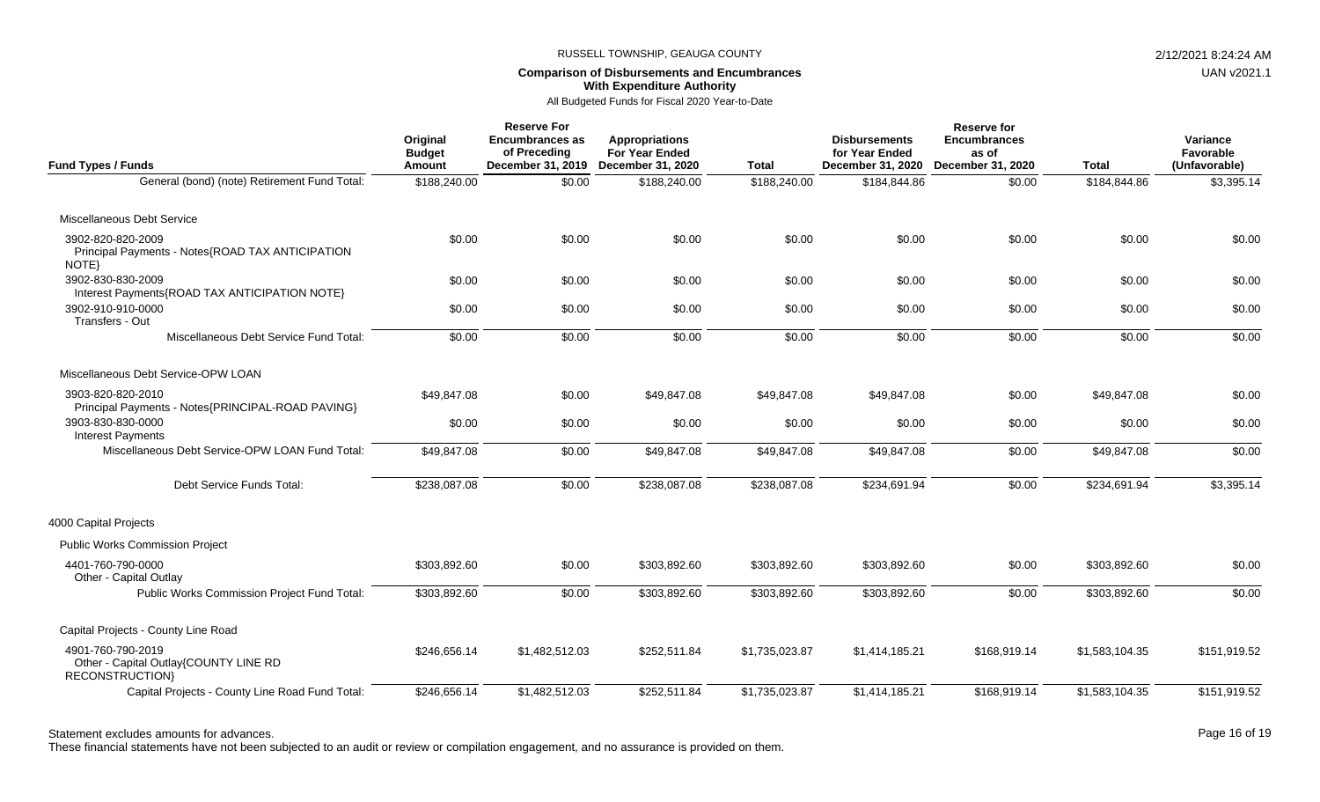# **Comparison of Disbursements and Encumbrances With Expenditure Authority**

UAN v2021.1

## All Budgeted Funds for Fiscal 2020 Year-to-Date

| <b>Fund Types / Funds</b>                                                      | Original<br><b>Budget</b><br>Amount | <b>Reserve For</b><br><b>Encumbrances as</b><br>of Preceding<br>December 31, 2019 | <b>Appropriations</b><br><b>For Year Ended</b><br>December 31, 2020 | <b>Total</b>   | <b>Disbursements</b><br>for Year Ended<br>December 31, 2020 | <b>Reserve for</b><br><b>Encumbrances</b><br>as of<br>December 31, 2020 | <b>Total</b>   | Variance<br>Favorable<br>(Unfavorable) |
|--------------------------------------------------------------------------------|-------------------------------------|-----------------------------------------------------------------------------------|---------------------------------------------------------------------|----------------|-------------------------------------------------------------|-------------------------------------------------------------------------|----------------|----------------------------------------|
| General (bond) (note) Retirement Fund Total:                                   | \$188,240.00                        | \$0.00                                                                            | \$188,240.00                                                        | \$188,240.00   | \$184,844.86                                                | \$0.00                                                                  | \$184,844.86   | \$3,395.14                             |
| Miscellaneous Debt Service                                                     |                                     |                                                                                   |                                                                     |                |                                                             |                                                                         |                |                                        |
| 3902-820-820-2009<br>Principal Payments - Notes{ROAD TAX ANTICIPATION<br>NOTE} | \$0.00                              | \$0.00                                                                            | \$0.00                                                              | \$0.00         | \$0.00                                                      | \$0.00                                                                  | \$0.00         | \$0.00                                 |
| 3902-830-830-2009<br>Interest Payments{ROAD TAX ANTICIPATION NOTE}             | \$0.00                              | \$0.00                                                                            | \$0.00                                                              | \$0.00         | \$0.00                                                      | \$0.00                                                                  | \$0.00         | \$0.00                                 |
| 3902-910-910-0000<br>Transfers - Out                                           | \$0.00                              | \$0.00                                                                            | \$0.00                                                              | \$0.00         | \$0.00                                                      | \$0.00                                                                  | \$0.00         | \$0.00                                 |
| Miscellaneous Debt Service Fund Total:                                         | \$0.00                              | \$0.00                                                                            | \$0.00                                                              | \$0.00         | \$0.00                                                      | \$0.00                                                                  | \$0.00         | \$0.00                                 |
| Miscellaneous Debt Service-OPW LOAN                                            |                                     |                                                                                   |                                                                     |                |                                                             |                                                                         |                |                                        |
| 3903-820-820-2010<br>Principal Payments - Notes{PRINCIPAL-ROAD PAVING}         | \$49,847.08                         | \$0.00                                                                            | \$49,847.08                                                         | \$49,847.08    | \$49,847.08                                                 | \$0.00                                                                  | \$49,847.08    | \$0.00                                 |
| 3903-830-830-0000<br><b>Interest Payments</b>                                  | \$0.00                              | \$0.00                                                                            | \$0.00                                                              | \$0.00         | \$0.00                                                      | \$0.00                                                                  | \$0.00         | \$0.00                                 |
| Miscellaneous Debt Service-OPW LOAN Fund Total:                                | \$49,847.08                         | \$0.00                                                                            | \$49,847.08                                                         | \$49,847.08    | \$49,847.08                                                 | \$0.00                                                                  | \$49,847.08    | \$0.00                                 |
| Debt Service Funds Total:                                                      | \$238,087.08                        | \$0.00                                                                            | \$238,087.08                                                        | \$238,087.08   | \$234,691.94                                                | \$0.00                                                                  | \$234,691.94   | \$3,395.14                             |
| 4000 Capital Projects                                                          |                                     |                                                                                   |                                                                     |                |                                                             |                                                                         |                |                                        |
| <b>Public Works Commission Project</b>                                         |                                     |                                                                                   |                                                                     |                |                                                             |                                                                         |                |                                        |
| 4401-760-790-0000<br>Other - Capital Outlay                                    | \$303,892.60                        | \$0.00                                                                            | \$303,892.60                                                        | \$303,892.60   | \$303,892.60                                                | \$0.00                                                                  | \$303,892.60   | \$0.00                                 |
| Public Works Commission Project Fund Total:                                    | \$303,892.60                        | \$0.00                                                                            | \$303,892.60                                                        | \$303,892.60   | \$303,892.60                                                | \$0.00                                                                  | \$303,892.60   | \$0.00                                 |
| Capital Projects - County Line Road                                            |                                     |                                                                                   |                                                                     |                |                                                             |                                                                         |                |                                        |
| 4901-760-790-2019<br>Other - Capital Outlay{COUNTY LINE RD<br>RECONSTRUCTION}  | \$246,656.14                        | \$1,482,512.03                                                                    | \$252,511.84                                                        | \$1,735,023.87 | \$1,414,185.21                                              | \$168,919.14                                                            | \$1,583,104.35 | \$151,919.52                           |
| Capital Projects - County Line Road Fund Total:                                | \$246,656.14                        | \$1,482,512.03                                                                    | \$252,511.84                                                        | \$1,735,023.87 | \$1,414,185.21                                              | \$168,919.14                                                            | \$1,583,104.35 | \$151,919.52                           |

Statement excludes amounts for advances. The statement of the distance of the control of the Page 16 of 19

These financial statements have not been subjected to an audit or review or compilation engagement, and no assurance is provided on them.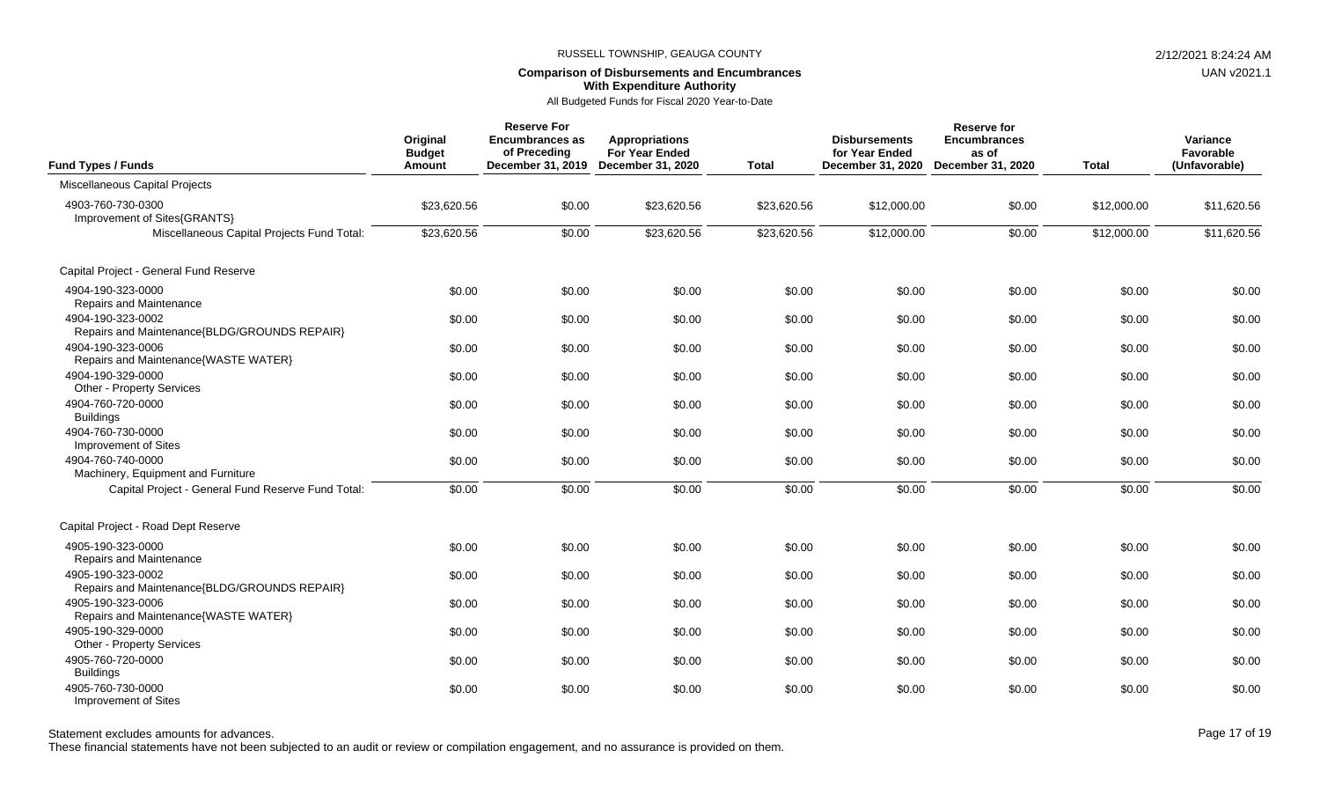# **Comparison of Disbursements and Encumbrances With Expenditure Authority**

## All Budgeted Funds for Fiscal 2020 Year-to-Date

| Fund Types / Funds                                                | Original<br><b>Budget</b><br>Amount | <b>Reserve For</b><br><b>Encumbrances as</b><br>of Preceding<br>December 31, 2019 December 31, 2020 | <b>Appropriations</b><br><b>For Year Ended</b> | <b>Total</b> | <b>Disbursements</b><br>for Year Ended<br>December 31, 2020 | <b>Reserve for</b><br><b>Encumbrances</b><br>as of<br>December 31, 2020 | <b>Total</b> | Variance<br>Favorable<br>(Unfavorable) |
|-------------------------------------------------------------------|-------------------------------------|-----------------------------------------------------------------------------------------------------|------------------------------------------------|--------------|-------------------------------------------------------------|-------------------------------------------------------------------------|--------------|----------------------------------------|
| Miscellaneous Capital Projects                                    |                                     |                                                                                                     |                                                |              |                                                             |                                                                         |              |                                        |
| 4903-760-730-0300<br>Improvement of Sites{GRANTS}                 | \$23,620.56                         | \$0.00                                                                                              | \$23,620.56                                    | \$23,620.56  | \$12,000.00                                                 | \$0.00                                                                  | \$12,000.00  | \$11,620.56                            |
| Miscellaneous Capital Projects Fund Total:                        | \$23,620.56                         | \$0.00                                                                                              | \$23,620.56                                    | \$23,620.56  | \$12,000.00                                                 | \$0.00                                                                  | \$12,000.00  | \$11,620.56                            |
| Capital Project - General Fund Reserve                            |                                     |                                                                                                     |                                                |              |                                                             |                                                                         |              |                                        |
| 4904-190-323-0000<br>Repairs and Maintenance                      | \$0.00                              | \$0.00                                                                                              | \$0.00                                         | \$0.00       | \$0.00                                                      | \$0.00                                                                  | \$0.00       | \$0.00                                 |
| 4904-190-323-0002<br>Repairs and Maintenance{BLDG/GROUNDS REPAIR} | \$0.00                              | \$0.00                                                                                              | \$0.00                                         | \$0.00       | \$0.00                                                      | \$0.00                                                                  | \$0.00       | \$0.00                                 |
| 4904-190-323-0006<br>Repairs and Maintenance{WASTE WATER}         | \$0.00                              | \$0.00                                                                                              | \$0.00                                         | \$0.00       | \$0.00                                                      | \$0.00                                                                  | \$0.00       | \$0.00                                 |
| 4904-190-329-0000<br>Other - Property Services                    | \$0.00                              | \$0.00                                                                                              | \$0.00                                         | \$0.00       | \$0.00                                                      | \$0.00                                                                  | \$0.00       | \$0.00                                 |
| 4904-760-720-0000<br><b>Buildings</b>                             | \$0.00                              | \$0.00                                                                                              | \$0.00                                         | \$0.00       | \$0.00                                                      | \$0.00                                                                  | \$0.00       | \$0.00                                 |
| 4904-760-730-0000<br>Improvement of Sites                         | \$0.00                              | \$0.00                                                                                              | \$0.00                                         | \$0.00       | \$0.00                                                      | \$0.00                                                                  | \$0.00       | \$0.00                                 |
| 4904-760-740-0000<br>Machinery, Equipment and Furniture           | \$0.00                              | \$0.00                                                                                              | \$0.00                                         | \$0.00       | \$0.00                                                      | \$0.00                                                                  | \$0.00       | \$0.00                                 |
| Capital Project - General Fund Reserve Fund Total:                | \$0.00                              | \$0.00                                                                                              | \$0.00                                         | \$0.00       | \$0.00                                                      | \$0.00                                                                  | \$0.00       | \$0.00                                 |
| Capital Project - Road Dept Reserve                               |                                     |                                                                                                     |                                                |              |                                                             |                                                                         |              |                                        |
| 4905-190-323-0000<br>Repairs and Maintenance                      | \$0.00                              | \$0.00                                                                                              | \$0.00                                         | \$0.00       | \$0.00                                                      | \$0.00                                                                  | \$0.00       | \$0.00                                 |
| 4905-190-323-0002<br>Repairs and Maintenance{BLDG/GROUNDS REPAIR} | \$0.00                              | \$0.00                                                                                              | \$0.00                                         | \$0.00       | \$0.00                                                      | \$0.00                                                                  | \$0.00       | \$0.00                                 |
| 4905-190-323-0006<br>Repairs and Maintenance{WASTE WATER}         | \$0.00                              | \$0.00                                                                                              | \$0.00                                         | \$0.00       | \$0.00                                                      | \$0.00                                                                  | \$0.00       | \$0.00                                 |
| 4905-190-329-0000<br>Other - Property Services                    | \$0.00                              | \$0.00                                                                                              | \$0.00                                         | \$0.00       | \$0.00                                                      | \$0.00                                                                  | \$0.00       | \$0.00                                 |
| 4905-760-720-0000<br><b>Buildings</b>                             | \$0.00                              | \$0.00                                                                                              | \$0.00                                         | \$0.00       | \$0.00                                                      | \$0.00                                                                  | \$0.00       | \$0.00                                 |
| 4905-760-730-0000<br>Improvement of Sites                         | \$0.00                              | \$0.00                                                                                              | \$0.00                                         | \$0.00       | \$0.00                                                      | \$0.00                                                                  | \$0.00       | \$0.00                                 |

Statement excludes amounts for advances. The state of the state of the state of the control of the Page 17 of 19

These financial statements have not been subjected to an audit or review or compilation engagement, and no assurance is provided on them.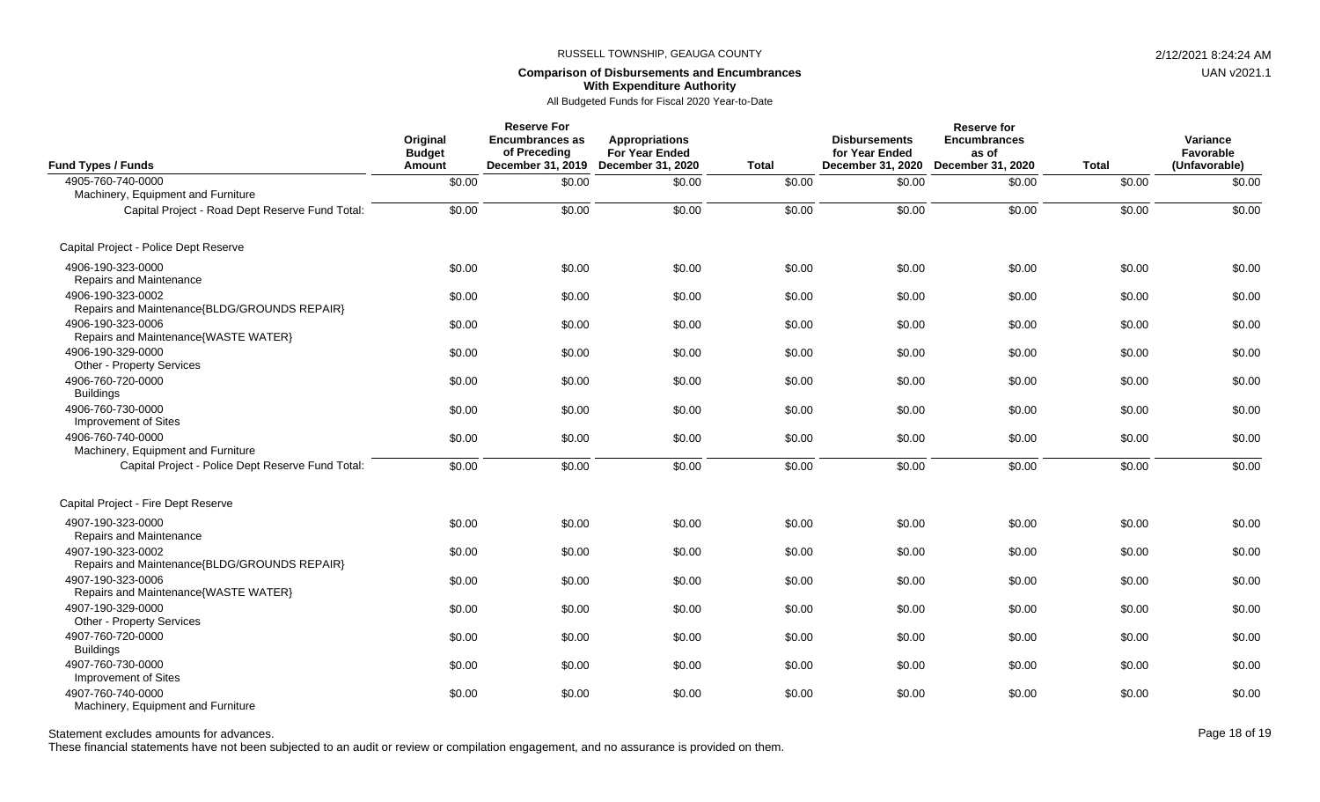## **Comparison of Disbursements and Encumbrances With Expenditure Authority**

All Budgeted Funds for Fiscal 2020 Year-to-Date

| <b>Fund Types / Funds</b>                                         | Original<br><b>Budget</b><br>Amount | <b>Reserve For</b><br><b>Encumbrances as</b><br>of Preceding | Appropriations<br><b>For Year Ended</b><br>December 31, 2019 December 31, 2020 | <b>Total</b> | <b>Disbursements</b><br>for Year Ended<br>December 31, 2020 | <b>Reserve for</b><br><b>Encumbrances</b><br>as of<br>December 31, 2020 | <b>Total</b> | Variance<br>Favorable<br>(Unfavorable) |
|-------------------------------------------------------------------|-------------------------------------|--------------------------------------------------------------|--------------------------------------------------------------------------------|--------------|-------------------------------------------------------------|-------------------------------------------------------------------------|--------------|----------------------------------------|
| 4905-760-740-0000                                                 | \$0.00                              | \$0.00                                                       | \$0.00                                                                         | \$0.00       | \$0.00                                                      | \$0.00                                                                  | \$0.00       | \$0.00                                 |
| Machinery, Equipment and Furniture                                |                                     |                                                              |                                                                                |              |                                                             |                                                                         |              |                                        |
| Capital Project - Road Dept Reserve Fund Total:                   | \$0.00                              | \$0.00                                                       | \$0.00                                                                         | \$0.00       | \$0.00                                                      | \$0.00                                                                  | \$0.00       | \$0.00                                 |
| Capital Project - Police Dept Reserve                             |                                     |                                                              |                                                                                |              |                                                             |                                                                         |              |                                        |
| 4906-190-323-0000<br>Repairs and Maintenance                      | \$0.00                              | \$0.00                                                       | \$0.00                                                                         | \$0.00       | \$0.00                                                      | \$0.00                                                                  | \$0.00       | \$0.00                                 |
| 4906-190-323-0002<br>Repairs and Maintenance{BLDG/GROUNDS REPAIR} | \$0.00                              | \$0.00                                                       | \$0.00                                                                         | \$0.00       | \$0.00                                                      | \$0.00                                                                  | \$0.00       | \$0.00                                 |
| 4906-190-323-0006<br>Repairs and Maintenance{WASTE WATER}         | \$0.00                              | \$0.00                                                       | \$0.00                                                                         | \$0.00       | \$0.00                                                      | \$0.00                                                                  | \$0.00       | \$0.00                                 |
| 4906-190-329-0000<br>Other - Property Services                    | \$0.00                              | \$0.00                                                       | \$0.00                                                                         | \$0.00       | \$0.00                                                      | \$0.00                                                                  | \$0.00       | \$0.00                                 |
| 4906-760-720-0000<br><b>Buildings</b>                             | \$0.00                              | \$0.00                                                       | \$0.00                                                                         | \$0.00       | \$0.00                                                      | \$0.00                                                                  | \$0.00       | \$0.00                                 |
| 4906-760-730-0000<br>Improvement of Sites                         | \$0.00                              | \$0.00                                                       | \$0.00                                                                         | \$0.00       | \$0.00                                                      | \$0.00                                                                  | \$0.00       | \$0.00                                 |
| 4906-760-740-0000<br>Machinery, Equipment and Furniture           | \$0.00                              | \$0.00                                                       | \$0.00                                                                         | \$0.00       | \$0.00                                                      | \$0.00                                                                  | \$0.00       | \$0.00                                 |
| Capital Project - Police Dept Reserve Fund Total:                 | \$0.00                              | \$0.00                                                       | \$0.00                                                                         | \$0.00       | \$0.00                                                      | \$0.00                                                                  | \$0.00       | \$0.00                                 |
| Capital Project - Fire Dept Reserve                               |                                     |                                                              |                                                                                |              |                                                             |                                                                         |              |                                        |
| 4907-190-323-0000<br>Repairs and Maintenance                      | \$0.00                              | \$0.00                                                       | \$0.00                                                                         | \$0.00       | \$0.00                                                      | \$0.00                                                                  | \$0.00       | \$0.00                                 |
| 4907-190-323-0002<br>Repairs and Maintenance{BLDG/GROUNDS REPAIR} | \$0.00                              | \$0.00                                                       | \$0.00                                                                         | \$0.00       | \$0.00                                                      | \$0.00                                                                  | \$0.00       | \$0.00                                 |
| 4907-190-323-0006<br>Repairs and Maintenance{WASTE WATER}         | \$0.00                              | \$0.00                                                       | \$0.00                                                                         | \$0.00       | \$0.00                                                      | \$0.00                                                                  | \$0.00       | \$0.00                                 |
| 4907-190-329-0000<br>Other - Property Services                    | \$0.00                              | \$0.00                                                       | \$0.00                                                                         | \$0.00       | \$0.00                                                      | \$0.00                                                                  | \$0.00       | \$0.00                                 |
| 4907-760-720-0000<br><b>Buildings</b>                             | \$0.00                              | \$0.00                                                       | \$0.00                                                                         | \$0.00       | \$0.00                                                      | \$0.00                                                                  | \$0.00       | \$0.00                                 |
| 4907-760-730-0000<br>Improvement of Sites                         | \$0.00                              | \$0.00                                                       | \$0.00                                                                         | \$0.00       | \$0.00                                                      | \$0.00                                                                  | \$0.00       | \$0.00                                 |
| 4907-760-740-0000<br>Machinery, Equipment and Furniture           | \$0.00                              | \$0.00                                                       | \$0.00                                                                         | \$0.00       | \$0.00                                                      | \$0.00                                                                  | \$0.00       | \$0.00                                 |

Statement excludes amounts for advances. The statement of the distance of the control of the Page 18 of 19 and the Page 18 of 19

These financial statements have not been subjected to an audit or review or compilation engagement, and no assurance is provided on them.